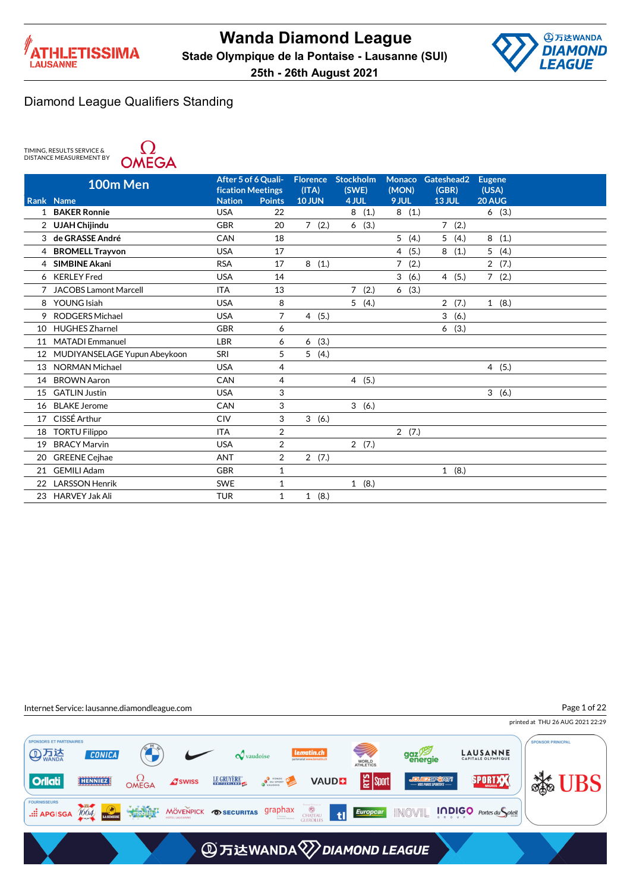



TIMING, RESULTS SERVICE & DISTANCE MEASUREMENT BY



|    | 100m Men                     | After 5 of 6 Quali-<br><b>fication Meetings</b> |               | <b>Florence</b><br>(ITA) | <b>Stockholm</b><br>(SWE) | <b>Monaco</b><br>(MON) | Gateshead2<br>(GBR) | <b>Eugene</b><br>(USA) |  |
|----|------------------------------|-------------------------------------------------|---------------|--------------------------|---------------------------|------------------------|---------------------|------------------------|--|
|    | Rank Name                    | <b>Nation</b>                                   | <b>Points</b> | <b>10 JUN</b>            | 4 JUL                     | 9 JUL                  | <b>13 JUL</b>       | 20 AUG                 |  |
| 1  | <b>BAKER Ronnie</b>          | <b>USA</b>                                      | 22            |                          | 8<br>(1.)                 | 8(1.)                  |                     | 6(3.)                  |  |
|    | 2 UJAH Chijindu              | <b>GBR</b>                                      | 20            | 7(2.)                    | 6<br>(3.)                 |                        | 7(2.)               |                        |  |
| 3  | de GRASSE André              | CAN                                             | 18            |                          |                           | 5<br>(4.)              | 5<br>(4.)           | 8<br>(1.)              |  |
| 4  | <b>BROMELL Trayvon</b>       | <b>USA</b>                                      | 17            |                          |                           | $\overline{4}$<br>(5.) | 8<br>(1.)           | 5<br>(4.)              |  |
| 4  | <b>SIMBINE Akani</b>         | <b>RSA</b>                                      | 17            | (1.)<br>8                |                           | $\overline{7}$<br>(2.) |                     | $\overline{2}$<br>(7.) |  |
| 6  | <b>KERLEY Fred</b>           | <b>USA</b>                                      | 14            |                          |                           | 3<br>(6.)              | 4(5.)               | (2.)<br>$7^{\circ}$    |  |
|    | <b>JACOBS Lamont Marcell</b> | <b>ITA</b>                                      | 13            |                          | (2.)<br>7                 | (3.)<br>6              |                     |                        |  |
| 8  | YOUNG Isiah                  | <b>USA</b>                                      | 8             |                          | 5(4.)                     |                        | 2(7.)               | 1(8.)                  |  |
| 9  | <b>RODGERS Michael</b>       | <b>USA</b>                                      | 7             | 4(5.)                    |                           |                        | 3<br>(6.)           |                        |  |
| 10 | <b>HUGHES Zharnel</b>        | <b>GBR</b>                                      | 6             |                          |                           |                        | (3.)<br>6           |                        |  |
| 11 | <b>MATADI</b> Emmanuel       | <b>LBR</b>                                      | 6             | (3.)<br>6                |                           |                        |                     |                        |  |
| 12 | MUDIYANSELAGE Yupun Abeykoon | SRI                                             | 5             | 5(4.)                    |                           |                        |                     |                        |  |
| 13 | <b>NORMAN Michael</b>        | <b>USA</b>                                      | 4             |                          |                           |                        |                     | 4(5.)                  |  |
| 14 | <b>BROWN Aaron</b>           | CAN                                             | 4             |                          | 4(5.)                     |                        |                     |                        |  |
| 15 | <b>GATLIN Justin</b>         | <b>USA</b>                                      | 3             |                          |                           |                        |                     | 3(6.)                  |  |
| 16 | <b>BLAKE Jerome</b>          | CAN                                             | 3             |                          | 3(6.)                     |                        |                     |                        |  |
| 17 | CISSÉ Arthur                 | <b>CIV</b>                                      | 3             | 3(6.)                    |                           |                        |                     |                        |  |
| 18 | <b>TORTU Filippo</b>         | <b>ITA</b>                                      | 2             |                          |                           | 2(7.)                  |                     |                        |  |
| 19 | <b>BRACY Marvin</b>          | <b>USA</b>                                      | 2             |                          | 2(7.)                     |                        |                     |                        |  |
| 20 | <b>GREENE Cejhae</b>         | <b>ANT</b>                                      | 2             | 2(7.)                    |                           |                        |                     |                        |  |
| 21 | <b>GEMILI Adam</b>           | <b>GBR</b>                                      | 1             |                          |                           |                        | 1(8.)               |                        |  |
| 22 | <b>LARSSON Henrik</b>        | <b>SWE</b>                                      | 1             |                          | 1(8.)                     |                        |                     |                        |  |
| 23 | <b>HARVEY Jak Ali</b>        | <b>TUR</b>                                      | $\mathbf{1}$  | (8.)<br>$\mathbf{1}$     |                           |                        |                     |                        |  |

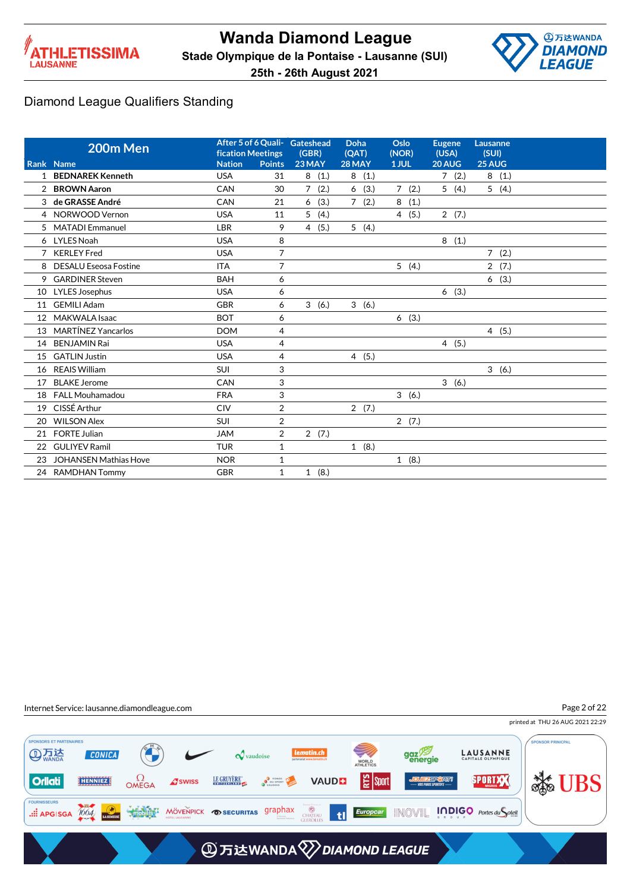



|                | 200m Men                        | <b>fication Meetings</b>    |                     | After 5 of 6 Quali- Gateshead<br>(GBR) | Doha<br>(QAT)          | Oslo<br>(NOR)          | <b>Eugene</b><br>(USA) | Lausanne<br>(SUI) |
|----------------|---------------------------------|-----------------------------|---------------------|----------------------------------------|------------------------|------------------------|------------------------|-------------------|
|                | Rank Name<br>1 BEDNAREK Kenneth | <b>Nation</b><br><b>USA</b> | <b>Points</b><br>31 | 23 MAY<br>8                            | 28 MAY                 | 1 JUL                  | 20 AUG                 | 25 AUG            |
|                |                                 |                             |                     | (1.)                                   | 8(1.)                  |                        | 7(2.)                  | 8(1.)             |
| $\overline{2}$ | <b>BROWN Aaron</b>              | CAN                         | 30                  | $\overline{7}$<br>(2.)                 | (3.)<br>6              | 7(2.)                  | 5(4.)                  | 5(4.)             |
| 3              | de GRASSE André                 | CAN                         | 21                  | (3.)<br>6                              | (2.)<br>$\overline{7}$ | 8<br>(1.)              |                        |                   |
|                | 4 NORWOOD Vernon                | <b>USA</b>                  | 11                  | 5<br>(4.)                              |                        | (5.)<br>$\overline{4}$ | 2(7.)                  |                   |
| 5              | <b>MATADI</b> Emmanuel          | LBR                         | 9                   | $\overline{4}$<br>(5.)                 | 5(4.)                  |                        |                        |                   |
|                | 6 LYLES Noah                    | <b>USA</b>                  | 8                   |                                        |                        |                        | 8<br>(1.)              |                   |
| $\overline{7}$ | <b>KERLEY Fred</b>              | <b>USA</b>                  | $\overline{7}$      |                                        |                        |                        |                        | 7(2.)             |
| 8              | <b>DESALU Eseosa Fostine</b>    | <b>ITA</b>                  | $\overline{7}$      |                                        |                        | 5(4)                   |                        | 2(7.)             |
| 9              | <b>GARDINER Steven</b>          | <b>BAH</b>                  | 6                   |                                        |                        |                        |                        | 6(3.)             |
| 10             | <b>LYLES Josephus</b>           | <b>USA</b>                  | 6                   |                                        |                        |                        | 6(3.)                  |                   |
| 11             | <b>GEMILI Adam</b>              | <b>GBR</b>                  | 6                   | 3(6.)                                  | 3(6.)                  |                        |                        |                   |
| 12             | <b>MAKWALA Isaac</b>            | <b>BOT</b>                  | 6                   |                                        |                        | 6(3.)                  |                        |                   |
| 13             | <b>MARTÍNEZ Yancarlos</b>       | <b>DOM</b>                  | 4                   |                                        |                        |                        |                        | 4(5.)             |
| 14             | <b>BENJAMIN Rai</b>             | <b>USA</b>                  | $\overline{4}$      |                                        |                        |                        | 4(5.)                  |                   |
| 15             | <b>GATLIN Justin</b>            | <b>USA</b>                  | 4                   |                                        | 4(5.)                  |                        |                        |                   |
| 16             | <b>REAIS William</b>            | <b>SUI</b>                  | 3                   |                                        |                        |                        |                        | 3(6.)             |
| 17             | <b>BLAKE Jerome</b>             | CAN                         | 3                   |                                        |                        |                        | 3(6.)                  |                   |
| 18             | <b>FALL Mouhamadou</b>          | <b>FRA</b>                  | 3                   |                                        |                        | 3(6.)                  |                        |                   |
| 19             | CISSÉ Arthur                    | <b>CIV</b>                  | $\overline{2}$      |                                        | 2(7.)                  |                        |                        |                   |
| 20             | <b>WILSON Alex</b>              | <b>SUI</b>                  | $\overline{2}$      |                                        |                        | 2(7.)                  |                        |                   |
| 21             | <b>FORTE Julian</b>             | <b>JAM</b>                  | $\overline{2}$      | 2(7.)                                  |                        |                        |                        |                   |
| 22             | <b>GULIYEV Ramil</b>            | <b>TUR</b>                  | $\mathbf{1}$        |                                        | 1(8.)                  |                        |                        |                   |
| 23             | <b>JOHANSEN Mathias Hove</b>    | <b>NOR</b>                  | $\mathbf{1}$        |                                        |                        | 1(8.)                  |                        |                   |
|                | 24 RAMDHAN Tommy                | <b>GBR</b>                  | $\mathbf{1}$        | 1(8.)                                  |                        |                        |                        |                   |

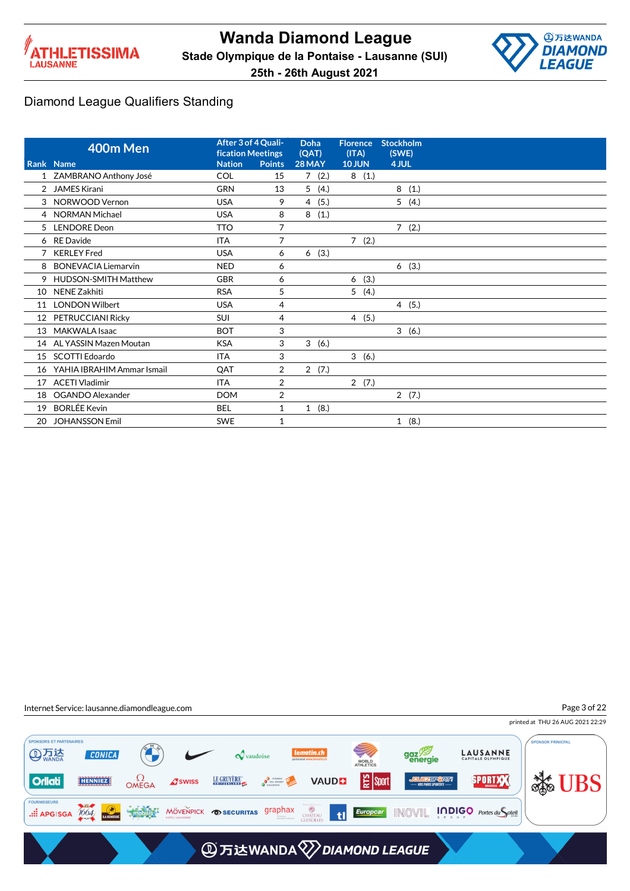



Page 3 of 22

### Diamond League Qualifiers Standing

|    | 400m Men                    | <b>fication Meetings</b> | After 3 of 4 Quali- | Doha<br>(QAT)          | <b>Florence</b><br>(ITA) | <b>Stockholm</b><br>(SWE) |
|----|-----------------------------|--------------------------|---------------------|------------------------|--------------------------|---------------------------|
|    | Rank Name                   | <b>Nation</b>            | <b>Points</b>       | 28 MAY                 | <b>10 JUN</b>            | 4 JUL                     |
|    | 1 ZAMBRANO Anthony José     | COL                      | 15                  | 7(2.)                  | 8(1.)                    |                           |
|    | 2 JAMES Kirani              | <b>GRN</b>               | 13                  | 5(4.)                  |                          | 8(1.)                     |
|    | 3 NORWOOD Vernon            | <b>USA</b>               | 9                   | (5.)<br>$\overline{4}$ |                          | 5(4.)                     |
|    | 4 NORMAN Michael            | <b>USA</b>               | 8                   | 8<br>(1.)              |                          |                           |
| 5  | <b>LENDORE</b> Deon         | <b>TTO</b>               | 7                   |                        |                          | 7(2.)                     |
| 6  | <b>RE</b> Davide            | <b>ITA</b>               | 7                   |                        | 7(2.)                    |                           |
|    | <b>KERLEY Fred</b>          | <b>USA</b>               | 6                   | 6(3.)                  |                          |                           |
| 8  | <b>BONEVACIA Liemarvin</b>  | <b>NED</b>               | 6                   |                        |                          | 6(3.)                     |
| 9  | <b>HUDSON-SMITH Matthew</b> | <b>GBR</b>               | 6                   |                        | (3.)<br>6                |                           |
| 10 | NENE Zakhiti                | <b>RSA</b>               | 5                   |                        | 5(4.)                    |                           |
| 11 | <b>LONDON Wilbert</b>       | <b>USA</b>               | 4                   |                        |                          | 4(5.)                     |
| 12 | PETRUCCIANI Ricky           | <b>SUI</b>               | 4                   |                        | 4(5.)                    |                           |
| 13 | <b>MAKWALA Isaac</b>        | <b>BOT</b>               | 3                   |                        |                          | 3(6.)                     |
| 14 | AL YASSIN Mazen Moutan      | <b>KSA</b>               | 3                   | 3<br>(6.)              |                          |                           |
| 15 | SCOTTI Edoardo              | <b>ITA</b>               | 3                   |                        | 3(6.)                    |                           |
| 16 | YAHIA IBRAHIM Ammar Ismail  | QAT                      | $\overline{2}$      | 2(7.)                  |                          |                           |
| 17 | <b>ACETI Vladimir</b>       | <b>ITA</b>               | 2                   |                        | 2(7.)                    |                           |
| 18 | OGANDO Alexander            | <b>DOM</b>               | 2                   |                        |                          | 2(7.)                     |
| 19 | <b>BORLÉE Kevin</b>         | <b>BEL</b>               | 1                   | 1(8.)                  |                          |                           |
| 20 | <b>JOHANSSON Emil</b>       | <b>SWE</b>               | 1                   |                        |                          | 1(8.)                     |

Internet Service: lausanne.diamondleague.com

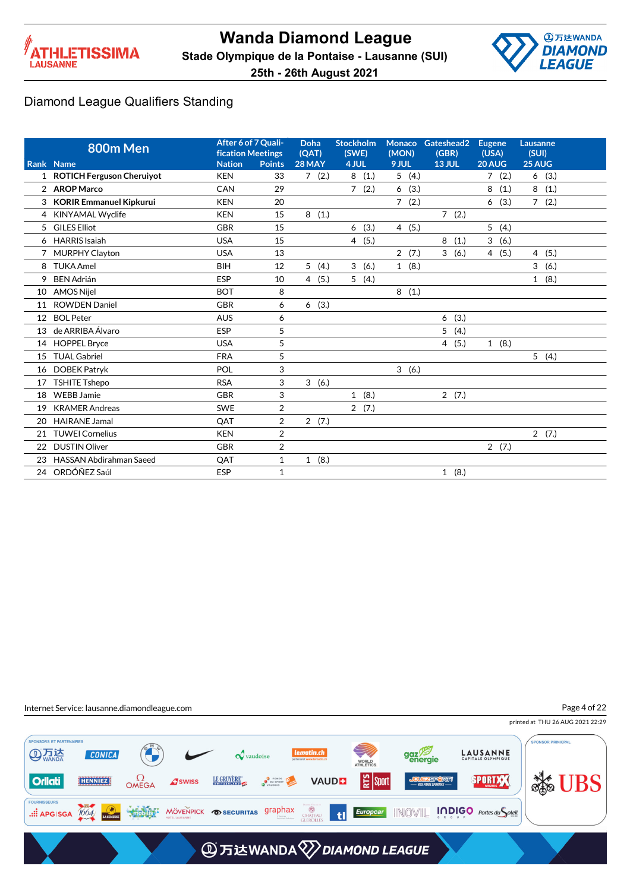



|    | 800m Men                       | After 6 of 7 Quali-<br><b>fication Meetings</b> |                | Doha<br>(OAT)          | <b>Stockholm</b><br>(SWE) | <b>Monaco</b><br>(MON) | Gateshead2<br>(GBR) | <b>Eugene</b><br>(USA) | Lausanne<br>(SUI)      |  |
|----|--------------------------------|-------------------------------------------------|----------------|------------------------|---------------------------|------------------------|---------------------|------------------------|------------------------|--|
|    | Rank Name                      | <b>Nation</b>                                   | <b>Points</b>  | 28 MAY                 | 4 JUL                     | 9 JUL                  | <b>13 JUL</b>       | 20 AUG                 | 25 AUG                 |  |
|    | 1 ROTICH Ferguson Cheruiyot    | <b>KEN</b>                                      | 33             | 7(2.)                  | 8<br>(1.)                 | 5(4.)                  |                     | $\overline{7}$<br>(2.) | (3.)<br>6              |  |
|    | 2 AROP Marco                   | CAN                                             | 29             |                        | $\overline{7}$<br>(2.)    | (3.)<br>6              |                     | 8<br>(1.)              | 8<br>(1.)              |  |
| 3  | <b>KORIR Emmanuel Kipkurui</b> | <b>KEN</b>                                      | 20             |                        |                           | $\overline{7}$<br>(2.) |                     | (3.)<br>6              | (2.)<br>$\overline{7}$ |  |
| 4  | <b>KINYAMAL Wyclife</b>        | <b>KEN</b>                                      | 15             | 8<br>(1.)              |                           |                        | 7(2.)               |                        |                        |  |
| 5  | <b>GILES Elliot</b>            | <b>GBR</b>                                      | 15             |                        | (3.)<br>6                 | 4(5.)                  |                     | 5 <sup>1</sup><br>(4.) |                        |  |
| 6  | <b>HARRIS</b> Isaiah           | <b>USA</b>                                      | 15             |                        | 4(5.)                     |                        | 8<br>(1.)           | 3<br>(6.)              |                        |  |
|    | <b>MURPHY Clayton</b>          | <b>USA</b>                                      | 13             |                        |                           | 2(7.)                  | 3<br>(6.)           | 4(5.)                  | 4(5.)                  |  |
| 8  | <b>TUKA Amel</b>               | <b>BIH</b>                                      | 12             | 5(4.)                  | 3(6.)                     | 1(8.)                  |                     |                        | 3<br>(6.)              |  |
| 9  | <b>BEN Adrián</b>              | <b>ESP</b>                                      | 10             | (5.)<br>$\overline{4}$ | 5<br>(4.)                 |                        |                     |                        | $\mathbf{1}$<br>(8.)   |  |
| 10 | <b>AMOS Niiel</b>              | <b>BOT</b>                                      | 8              |                        |                           | 8<br>(1.)              |                     |                        |                        |  |
| 11 | <b>ROWDEN Daniel</b>           | <b>GBR</b>                                      | 6              | 6(3.)                  |                           |                        |                     |                        |                        |  |
| 12 | <b>BOL Peter</b>               | <b>AUS</b>                                      | 6              |                        |                           |                        | 6<br>(3.)           |                        |                        |  |
| 13 | de ARRIBA Álvaro               | <b>ESP</b>                                      | 5              |                        |                           |                        | 5<br>(4.)           |                        |                        |  |
| 14 | <b>HOPPEL Bryce</b>            | <b>USA</b>                                      | 5              |                        |                           |                        | (5.)<br>4           | 1(8.)                  |                        |  |
| 15 | <b>TUAL Gabriel</b>            | <b>FRA</b>                                      | 5              |                        |                           |                        |                     |                        | 5(4.)                  |  |
| 16 | <b>DOBEK Patryk</b>            | POL                                             | 3              |                        |                           | 3(6.)                  |                     |                        |                        |  |
| 17 | <b>TSHITE Tshepo</b>           | <b>RSA</b>                                      | 3              | 3<br>(6.)              |                           |                        |                     |                        |                        |  |
| 18 | <b>WEBB Jamie</b>              | <b>GBR</b>                                      | 3              |                        | 1(8.)                     |                        | 2(7.)               |                        |                        |  |
| 19 | <b>KRAMER Andreas</b>          | <b>SWE</b>                                      | $\overline{2}$ |                        | 2(7.)                     |                        |                     |                        |                        |  |
| 20 | <b>HAIRANE Jamal</b>           | QAT                                             | $\overline{2}$ | 2(7.)                  |                           |                        |                     |                        |                        |  |
| 21 | <b>TUWEI Cornelius</b>         | <b>KEN</b>                                      | $\overline{2}$ |                        |                           |                        |                     |                        | 2(7.)                  |  |
| 22 | <b>DUSTIN Oliver</b>           | <b>GBR</b>                                      | $\overline{2}$ |                        |                           |                        |                     | 2(7.)                  |                        |  |
| 23 | <b>HASSAN Abdirahman Saeed</b> | QAT                                             | 1              | 1(8.)                  |                           |                        |                     |                        |                        |  |
| 24 | ORDÓÑEZ Saúl                   | <b>ESP</b>                                      | $\mathbf{1}$   |                        |                           |                        | 1(8.)               |                        |                        |  |

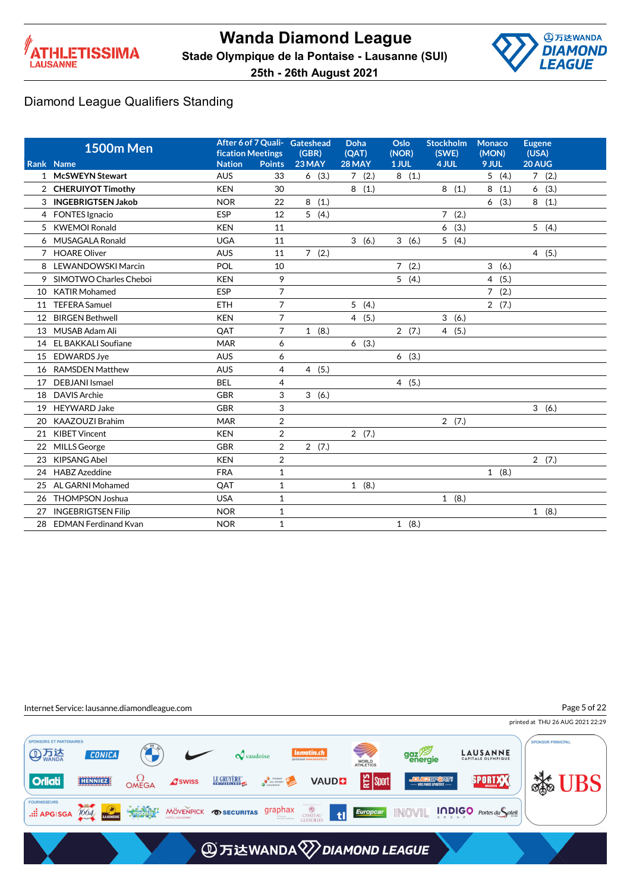



|    | <b>1500m Men</b>            | <b>fication Meetings</b> |                | After 6 of 7 Quali- Gateshead<br>(GBR) | <b>Doha</b><br>(OAT) | Oslo<br>(NOR)       | <b>Stockholm</b><br>(SWE) | Monaco<br>(MON) | <b>Eugene</b><br>(USA) |
|----|-----------------------------|--------------------------|----------------|----------------------------------------|----------------------|---------------------|---------------------------|-----------------|------------------------|
|    | Rank Name                   | <b>Nation</b>            | <b>Points</b>  | 23 MAY                                 | 28 MAY               | 1 JUL               | 4 JUL                     | 9 JUL           | 20 AUG                 |
|    | 1 McSWEYN Stewart           | <b>AUS</b>               | 33             | 6(3.)                                  | 7(2.)                | 8(1.)               |                           | 5(4.)           | 7(2.)                  |
|    | 2 CHERUIYOT Timothy         | <b>KEN</b>               | 30             |                                        | 8(1.)                |                     | 8(1.)                     | 8<br>(1.)       | (3.)<br>6              |
| 3  | <b>INGEBRIGTSEN Jakob</b>   | <b>NOR</b>               | 22             | 8(1.)                                  |                      |                     |                           | 6(3.)           | 8<br>(1.)              |
|    | 4 FONTES Ignacio            | ESP                      | 12             | 5(4.)                                  |                      |                     | 7(2.)                     |                 |                        |
| 5  | <b>KWEMOI Ronald</b>        | <b>KEN</b>               | 11             |                                        |                      |                     | (3.)<br>6                 |                 | 5(4.)                  |
| 6  | MUSAGALA Ronald             | <b>UGA</b>               | 11             |                                        | 3(6.)                | 3(6.)               | 5<br>(4.)                 |                 |                        |
| 7  | <b>HOARE Oliver</b>         | <b>AUS</b>               | 11             | 7(2.)                                  |                      |                     |                           |                 | (5.)<br>$\overline{4}$ |
| 8  | LEWANDOWSKI Marcin          | POL                      | 10             |                                        |                      | (2.)<br>$7^{\circ}$ |                           | 3<br>(6.)       |                        |
|    | 9 SIMOTWO Charles Cheboi    | <b>KEN</b>               | 9              |                                        |                      | 5(4.)               |                           | 4(5.)           |                        |
| 10 | <b>KATIR Mohamed</b>        | <b>ESP</b>               | $\overline{7}$ |                                        |                      |                     |                           | 7(2.)           |                        |
| 11 | <b>TEFERA Samuel</b>        | <b>ETH</b>               | $\overline{7}$ |                                        | 5(4.)                |                     |                           | 2(7.)           |                        |
| 12 | <b>BIRGEN Bethwell</b>      | <b>KEN</b>               | $\overline{7}$ |                                        | 4(5.)                |                     | 3<br>(6.)                 |                 |                        |
| 13 | MUSAB Adam Ali              | QAT                      | $\overline{7}$ | 1(8.)                                  |                      | 2(7.)               | (5.)<br>$\overline{4}$    |                 |                        |
| 14 | <b>EL BAKKALI Soufiane</b>  | <b>MAR</b>               | 6              |                                        | 6(3.)                |                     |                           |                 |                        |
| 15 | <b>EDWARDS Jye</b>          | <b>AUS</b>               | 6              |                                        |                      | 6(3.)               |                           |                 |                        |
| 16 | <b>RAMSDEN Matthew</b>      | <b>AUS</b>               | 4              | 4(5.)                                  |                      |                     |                           |                 |                        |
| 17 | DEBJANI Ismael              | <b>BEL</b>               | 4              |                                        |                      | 4(5.)               |                           |                 |                        |
| 18 | <b>DAVIS Archie</b>         | <b>GBR</b>               | 3              | 3(6.)                                  |                      |                     |                           |                 |                        |
| 19 | <b>HEYWARD Jake</b>         | <b>GBR</b>               | 3              |                                        |                      |                     |                           |                 | 3(6.)                  |
| 20 | KAAZOUZI Brahim             | <b>MAR</b>               | $\overline{2}$ |                                        |                      |                     | 2(7.)                     |                 |                        |
| 21 | <b>KIBET Vincent</b>        | <b>KEN</b>               | $\overline{2}$ |                                        | 2(7.)                |                     |                           |                 |                        |
| 22 | MILLS George                | <b>GBR</b>               | $\overline{2}$ | 2(7.)                                  |                      |                     |                           |                 |                        |
| 23 | <b>KIPSANG Abel</b>         | <b>KEN</b>               | $\overline{2}$ |                                        |                      |                     |                           |                 | 2(7.)                  |
| 24 | <b>HABZ</b> Azeddine        | <b>FRA</b>               | $\mathbf{1}$   |                                        |                      |                     |                           | 1(8.)           |                        |
| 25 | AL GARNI Mohamed            | QAT                      | $\mathbf{1}$   |                                        | 1(8.)                |                     |                           |                 |                        |
| 26 | <b>THOMPSON Joshua</b>      | <b>USA</b>               | $\mathbf{1}$   |                                        |                      |                     | 1(8.)                     |                 |                        |
| 27 | <b>INGEBRIGTSEN Filip</b>   | <b>NOR</b>               | $\mathbf{1}$   |                                        |                      |                     |                           |                 | 1(8.)                  |
| 28 | <b>EDMAN Ferdinand Kvan</b> | <b>NOR</b>               | $\mathbf{1}$   |                                        |                      | 1(8.)               |                           |                 |                        |
|    |                             |                          |                |                                        |                      |                     |                           |                 |                        |

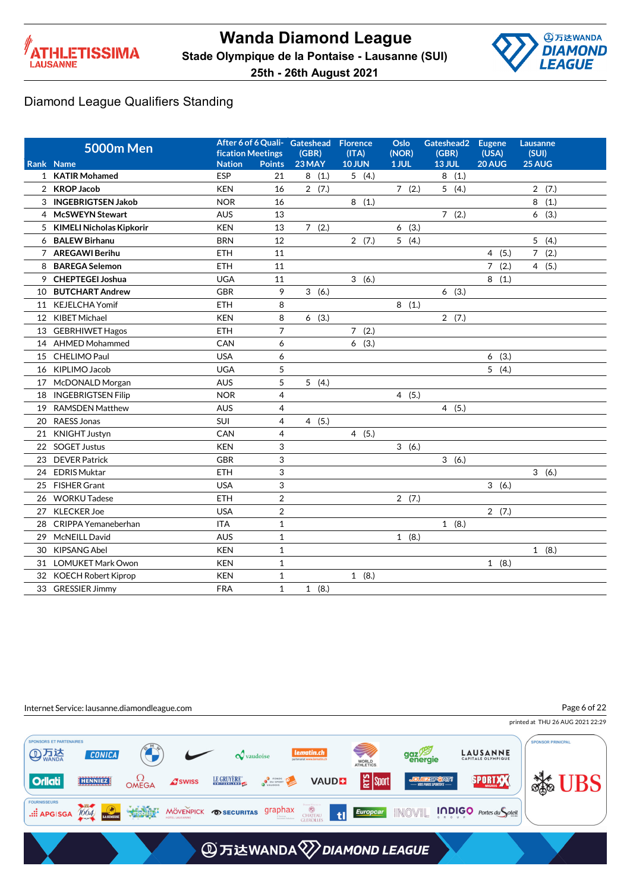



|    | <b>5000m Men</b>           | fication Meetings |                | After 6 of 6 Quali- Gateshead<br>(GBR) | <b>Florence</b><br>(ITA) | Oslo<br>(NOR) | Gateshead2<br>(GBR) | <b>Eugene</b><br>(USA) | Lausanne<br>(SUI) |
|----|----------------------------|-------------------|----------------|----------------------------------------|--------------------------|---------------|---------------------|------------------------|-------------------|
|    | Rank Name                  | <b>Nation</b>     | <b>Points</b>  | 23 MAY                                 | <b>10 JUN</b>            | 1 JUL         | <b>13 JUL</b>       | 20 AUG                 | 25 AUG            |
|    | 1 KATIR Mohamed            | ESP               | 21             | 8(1.)                                  | 5(4.)                    |               | 8(1.)               |                        |                   |
|    | 2 KROP Jacob               | <b>KEN</b>        | 16             | 2(7.)                                  |                          | 7(2.)         | 5(4.)               |                        | 2(7.)             |
|    | 3 INGEBRIGTSEN Jakob       | <b>NOR</b>        | 16             |                                        | 8(1.)                    |               |                     |                        | 8<br>(1.)         |
|    | 4 McSWEYN Stewart          | <b>AUS</b>        | 13             |                                        |                          |               | 7(2.)               |                        | 6<br>(3.)         |
|    | 5 KIMELI Nicholas Kipkorir | <b>KEN</b>        | 13             | 7(2.)                                  |                          | 6(3.)         |                     |                        |                   |
|    | 6 BALEW Birhanu            | <b>BRN</b>        | 12             |                                        | 2(7.)                    | 5(4.)         |                     |                        | 5(4.)             |
|    | 7 AREGAWI Berihu           | ETH               | 11             |                                        |                          |               |                     | 4(5.)                  | 7(2.)             |
| 8  | <b>BAREGA Selemon</b>      | <b>ETH</b>        | 11             |                                        |                          |               |                     | 7(2.)                  | 4(5.)             |
| 9  | <b>CHEPTEGEI Joshua</b>    | <b>UGA</b>        | 11             |                                        | 3(6.)                    |               |                     | 8(1.)                  |                   |
| 10 | <b>BUTCHART Andrew</b>     | <b>GBR</b>        | 9              | 3(6.)                                  |                          |               | 6(3.)               |                        |                   |
|    | 11 KEJELCHA Yomif          | <b>ETH</b>        | 8              |                                        |                          | 8(1.)         |                     |                        |                   |
|    | 12 KIBET Michael           | <b>KEN</b>        | 8              | 6(3.)                                  |                          |               | 2(7.)               |                        |                   |
|    | 13 GEBRHIWET Hagos         | <b>ETH</b>        | $\overline{7}$ |                                        | 7(2.)                    |               |                     |                        |                   |
|    | 14 AHMED Mohammed          | CAN               | 6              |                                        | 6(3.)                    |               |                     |                        |                   |
|    | 15 CHELIMO Paul            | <b>USA</b>        | 6              |                                        |                          |               |                     | 6(3.)                  |                   |
| 16 | KIPLIMO Jacob              | <b>UGA</b>        | 5              |                                        |                          |               |                     | 5(4.)                  |                   |
|    | 17 McDONALD Morgan         | <b>AUS</b>        | 5              | 5(4.)                                  |                          |               |                     |                        |                   |
| 18 | <b>INGEBRIGTSEN Filip</b>  | <b>NOR</b>        | $\overline{4}$ |                                        |                          | 4(5.)         |                     |                        |                   |
| 19 | <b>RAMSDEN Matthew</b>     | <b>AUS</b>        | 4              |                                        |                          |               | 4(5.)               |                        |                   |
| 20 | RAESS Jonas                | SUI               | 4              | 4(5.)                                  |                          |               |                     |                        |                   |
| 21 | <b>KNIGHT Justyn</b>       | CAN               | 4              |                                        | 4(5.)                    |               |                     |                        |                   |
|    | 22 SOGET Justus            | <b>KEN</b>        | 3              |                                        |                          | 3(6.)         |                     |                        |                   |
| 23 | <b>DEVER Patrick</b>       | <b>GBR</b>        | 3              |                                        |                          |               | 3(6.)               |                        |                   |
| 24 | <b>EDRIS Muktar</b>        | <b>ETH</b>        | 3              |                                        |                          |               |                     |                        | 3(6.)             |
| 25 | FISHER Grant               | <b>USA</b>        | 3              |                                        |                          |               |                     | 3(6.)                  |                   |
| 26 | <b>WORKU Tadese</b>        | ETH               | $\overline{2}$ |                                        |                          | 2(7.)         |                     |                        |                   |
| 27 | <b>KLECKER Joe</b>         | <b>USA</b>        | $\overline{2}$ |                                        |                          |               |                     | 2(7.)                  |                   |
| 28 | CRIPPA Yemaneberhan        | <b>ITA</b>        | $\mathbf{1}$   |                                        |                          |               | 1(8.)               |                        |                   |
| 29 | McNEILL David              | <b>AUS</b>        | $\mathbf{1}$   |                                        |                          | 1(8.)         |                     |                        |                   |
| 30 | <b>KIPSANG Abel</b>        | <b>KEN</b>        | $\mathbf{1}$   |                                        |                          |               |                     |                        | 1(8.)             |
| 31 | <b>LOMUKET Mark Owon</b>   | <b>KEN</b>        | $\mathbf{1}$   |                                        |                          |               |                     | 1(8.)                  |                   |
| 32 | <b>KOECH Robert Kiprop</b> | <b>KEN</b>        | $\mathbf{1}$   |                                        | 1(8.)                    |               |                     |                        |                   |
|    | 33 GRESSIER Jimmy          | <b>FRA</b>        | $\mathbf{1}$   | 1(8.)                                  |                          |               |                     |                        |                   |



Page 6 of 22

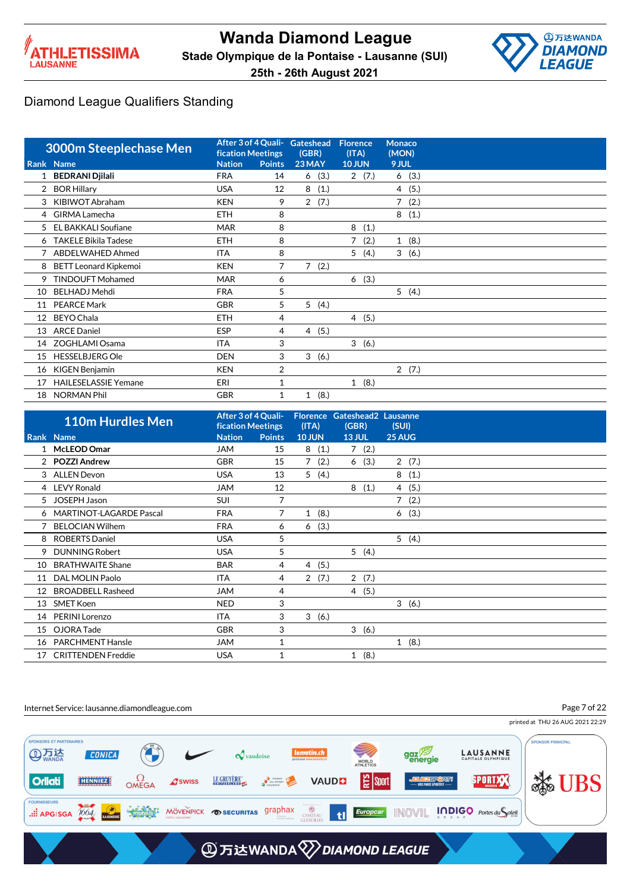



|    | <b>3000m Steeplechase Men</b> | <b>fication Meetings</b> |               | After 3 of 4 Quali- Gateshead<br>(GBR) | <b>Florence</b><br>(ITA) | <b>Monaco</b><br>(MON) |
|----|-------------------------------|--------------------------|---------------|----------------------------------------|--------------------------|------------------------|
|    | Rank Name                     | <b>Nation</b>            | <b>Points</b> | 23 MAY                                 | <b>10 JUN</b>            | 9 JUL                  |
| 1  | <b>BEDRANI Djilali</b>        | <b>FRA</b>               | 14            | (3.)<br>6                              | 2(7.)                    | 6(3.)                  |
| 2  | <b>BOR Hillary</b>            | <b>USA</b>               | 12            | 8<br>(1.)                              |                          | 4 (5.)                 |
| 3  | KIBIWOT Abraham               | <b>KEN</b>               | 9             | 2(7.)                                  |                          | $\overline{7}$<br>(2.) |
| 4  | <b>GIRMA Lamecha</b>          | <b>ETH</b>               | 8             |                                        |                          | 8<br>(1.)              |
| 5  | <b>EL BAKKALI Soufiane</b>    | <b>MAR</b>               | 8             |                                        | 8<br>(1.)                |                        |
| 6  | <b>TAKELE Bikila Tadese</b>   | <b>ETH</b>               | 8             |                                        | 7<br>(2.)                | 1(8.)                  |
|    | 7 ABDELWAHED Ahmed            | <b>ITA</b>               | 8             |                                        | 5(4.)                    | 3(6.)                  |
| 8  | <b>BETT Leonard Kipkemoi</b>  | <b>KEN</b>               | 7             | $\overline{7}$<br>(2.)                 |                          |                        |
| 9  | <b>TINDOUFT Mohamed</b>       | <b>MAR</b>               | 6             |                                        | (3.)<br>6                |                        |
| 10 | <b>BELHADJ Mehdi</b>          | <b>FRA</b>               | 5             |                                        |                          | 5(4.)                  |
| 11 | <b>PEARCE Mark</b>            | <b>GBR</b>               | 5             | 5<br>(4.)                              |                          |                        |
| 12 | <b>BEYO Chala</b>             | <b>ETH</b>               | 4             |                                        | 4(5.)                    |                        |
| 13 | <b>ARCE Daniel</b>            | <b>ESP</b>               | 4             | 4(5.)                                  |                          |                        |
| 14 | ZOGHLAMI Osama                | <b>ITA</b>               | 3             |                                        | 3(6.)                    |                        |
| 15 | <b>HESSELBJERG Ole</b>        | <b>DEN</b>               | 3             | 3(6.)                                  |                          |                        |
| 16 | KIGEN Benjamin                | <b>KEN</b>               | 2             |                                        |                          | 2(7.)                  |
| 17 | <b>HAILESELASSIE Yemane</b>   | ERI                      | 1             |                                        | 1(8.)                    |                        |
| 18 | <b>NORMAN Phil</b>            | <b>GBR</b>               | 1             | (8.)<br>1                              |                          |                        |

|    | <b>110m Hurdles Men</b>   | After 3 of 4 Quali-<br><b>fication Meetings</b> |               | Florence Gateshead2 Lausanne<br>(ITA) | (GBR)          |       | (SUI)     |
|----|---------------------------|-------------------------------------------------|---------------|---------------------------------------|----------------|-------|-----------|
|    | Rank Name                 | <b>Nation</b>                                   | <b>Points</b> | <b>10 JUN</b>                         | <b>13 JUL</b>  |       | 25 AUG    |
|    | 1 McLEOD Omar             | <b>JAM</b>                                      | 15            | 8(1.)                                 |                | 7(2.) |           |
|    | 2 POZZI Andrew            | <b>GBR</b>                                      | 15            | 7(2.)                                 |                | 6(3.) | 2(7.)     |
|    | 3 ALLEN Devon             | <b>USA</b>                                      | 13            | 5(4.)                                 |                |       | 8<br>(1.) |
|    | 4 LEVY Ronald             | <b>JAM</b>                                      | 12            |                                       | 8              | (1.)  | 4(5.)     |
|    | 5 JOSEPH Jason            | <b>SUI</b>                                      | 7             |                                       |                |       | 7(2.)     |
|    | 6 MARTINOT-LAGARDE Pascal | <b>FRA</b>                                      | 7             | 1(8.)                                 |                |       | 6(3.)     |
|    | <b>BELOCIAN Wilhem</b>    | <b>FRA</b>                                      | 6             | (3.)<br>6                             |                |       |           |
| 8  | <b>ROBERTS Daniel</b>     | <b>USA</b>                                      | 5             |                                       |                |       | 5(4.)     |
| 9  | <b>DUNNING Robert</b>     | <b>USA</b>                                      | 5             |                                       |                | 5(4.) |           |
| 10 | <b>BRATHWAITE Shane</b>   | <b>BAR</b>                                      | 4             | 4(5.)                                 |                |       |           |
| 11 | DAL MOLIN Paolo           | <b>ITA</b>                                      | 4             | 2(7.)                                 |                | 2(7.) |           |
| 12 | <b>BROADBELL Rasheed</b>  | <b>JAM</b>                                      | 4             |                                       | $\overline{4}$ | (5.)  |           |
| 13 | <b>SMET Koen</b>          | <b>NED</b>                                      | 3             |                                       |                |       | 3(6.)     |
| 14 | <b>PERINI Lorenzo</b>     | <b>ITA</b>                                      | 3             | 3<br>(6.)                             |                |       |           |
| 15 | OJORA Tade                | <b>GBR</b>                                      | 3             |                                       |                | 3(6.) |           |
| 16 | <b>PARCHMENT Hansle</b>   | <b>JAM</b>                                      | 1             |                                       |                |       | 1(8.)     |
| 17 | <b>CRITTENDEN Freddie</b> | <b>USA</b>                                      | 1             |                                       |                | 1(8.) |           |

#### Internet Service: lausanne.diamondleague.com

Page 7 of 22

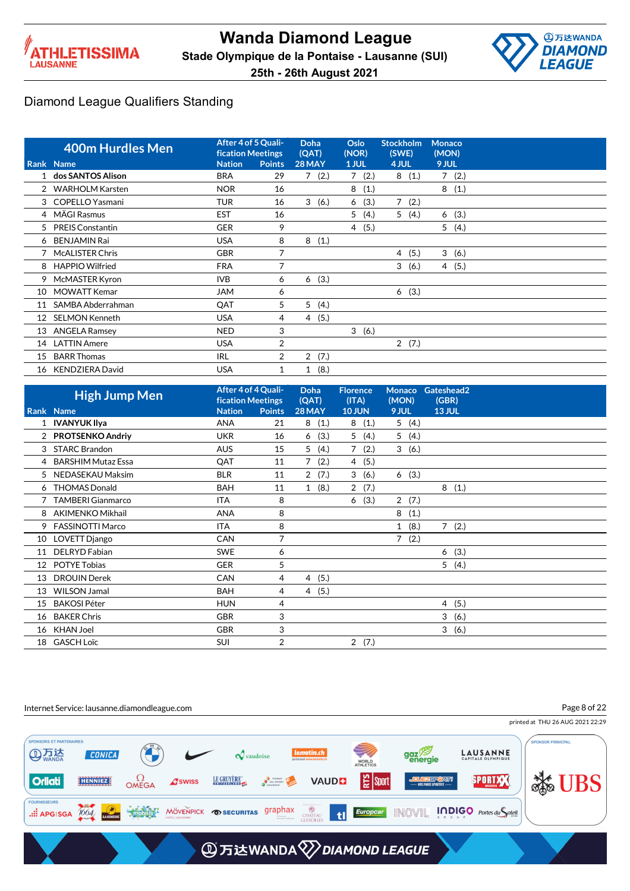



|    | <b>400m Hurdles Men</b> | After 4 of 5 Quali-<br><b>fication Meetings</b> |                | Doha<br>(QAT)          | Oslo<br>(NOR) | <b>Stockholm</b><br>(SWE) | <b>Monaco</b><br>(MON) |
|----|-------------------------|-------------------------------------------------|----------------|------------------------|---------------|---------------------------|------------------------|
|    | Rank Name               | <b>Nation</b>                                   | <b>Points</b>  | 28 MAY                 | 1 JUL         | 4 JUL                     | 9 JUL                  |
|    | dos SANTOS Alison       | <b>BRA</b>                                      | 29             | 7<br>(2.)              | 7<br>(2.)     | 8<br>(1.)                 | 7(2.)                  |
|    | <b>WARHOLM Karsten</b>  | <b>NOR</b>                                      | 16             |                        | 8<br>(1.)     |                           | 8<br>(1.)              |
|    | 3 COPELLO Yasmani       | <b>TUR</b>                                      | 16             | 3<br>(6.)              | (3.)<br>6     | $\overline{7}$<br>(2.)    |                        |
|    | 4 MÄGI Rasmus           | <b>EST</b>                                      | 16             |                        | 5<br>(4.)     | 5<br>(4.)                 | (3.)<br>6              |
| 5  | <b>PREIS Constantin</b> | <b>GER</b>                                      | 9              |                        | 4 (5.)        |                           | 5<br>(4.)              |
| 6  | <b>BENJAMIN Rai</b>     | <b>USA</b>                                      | 8              | 8<br>(1.)              |               |                           |                        |
|    | <b>McALISTER Chris</b>  | <b>GBR</b>                                      | 7              |                        |               | (5.)<br>4                 | 3<br>(6.)              |
| 8  | <b>HAPPIO Wilfried</b>  | <b>FRA</b>                                      | $\overline{7}$ |                        |               | 3<br>(6.)                 | 4(5.)                  |
| 9  | McMASTER Kyron          | <b>IVB</b>                                      | 6              | (3.)<br>6              |               |                           |                        |
| 10 | <b>MOWATT Kemar</b>     | <b>JAM</b>                                      | 6              |                        |               | (3.)<br>6                 |                        |
| 11 | SAMBA Abderrahman       | QAT                                             | 5              | 5<br>(4.)              |               |                           |                        |
| 12 | <b>SELMON Kenneth</b>   | <b>USA</b>                                      | 4              | (5.)<br>$\overline{4}$ |               |                           |                        |
| 13 | <b>ANGELA Ramsey</b>    | <b>NED</b>                                      | 3              |                        | 3<br>(6.)     |                           |                        |
| 14 | <b>LATTIN Amere</b>     | <b>USA</b>                                      | 2              |                        |               | 2(7.)                     |                        |
| 15 | <b>BARR Thomas</b>      | <b>IRL</b>                                      | $\overline{2}$ | $\overline{2}$<br>(7.) |               |                           |                        |
| 16 | KENDZIERA David         | <b>USA</b>                                      |                | (8.)<br>1              |               |                           |                        |

|                 | <b>High Jump Men</b>      | After 4 of 4 Quali-<br><b>fication Meetings</b> |                | <b>Doha</b><br>(QAT)   | <b>Florence</b><br>(ITA) | Monaco<br>(MON)        | Gateshead2<br>(GBR) |
|-----------------|---------------------------|-------------------------------------------------|----------------|------------------------|--------------------------|------------------------|---------------------|
|                 | Rank Name                 | <b>Nation</b>                                   | <b>Points</b>  | 28 MAY                 | <b>10 JUN</b>            | 9 JUL                  | <b>13 JUL</b>       |
|                 | 1 IVANYUK Ilya            | <b>ANA</b>                                      | 21             | 8<br>(1.)              | 8<br>(1.)                | 5(4.)                  |                     |
|                 | 2 PROTSENKO Andriy        | <b>UKR</b>                                      | 16             | (3.)<br>6              | 5(4.)                    | 5(4.)                  |                     |
| 3               | <b>STARC Brandon</b>      | <b>AUS</b>                                      | 15             | 5<br>(4.)              | $7^{\circ}$<br>(2.)      | 3(6.)                  |                     |
| 4               | <b>BARSHIM Mutaz Essa</b> | QAT                                             | 11             | (2.)<br>7              | (5.)<br>4                |                        |                     |
|                 | 5 NEDASEKAU Maksim        | <b>BLR</b>                                      | 11             | 2(7.)                  | 3<br>(6.)                | 6(3.)                  |                     |
| 6               | <b>THOMAS Donald</b>      | <b>BAH</b>                                      | 11             | 1(8.)                  | 2(7.)                    |                        | 8(1.)               |
|                 | <b>TAMBERI Gianmarco</b>  | <b>ITA</b>                                      | 8              |                        | (3.)<br>6                | $\overline{2}$<br>(7.) |                     |
| 8               | AKIMENKO Mikhail          | <b>ANA</b>                                      | 8              |                        |                          | 8<br>(1.)              |                     |
| 9               | <b>FASSINOTTI Marco</b>   | <b>ITA</b>                                      | 8              |                        |                          | (8.)<br>$\mathbf{1}$   | 7(2.)               |
| 10              | LOVETT Django             | CAN                                             | 7              |                        |                          | $\overline{7}$<br>(2.) |                     |
| 11              | DELRYD Fabian             | <b>SWE</b>                                      | 6              |                        |                          |                        | (3.)<br>6           |
| 12 <sup>°</sup> | <b>POTYE Tobias</b>       | <b>GER</b>                                      | 5              |                        |                          |                        | 5(4.)               |
| 13              | <b>DROUIN Derek</b>       | <b>CAN</b>                                      | 4              | (5.)<br>4              |                          |                        |                     |
| 13              | <b>WILSON Jamal</b>       | <b>BAH</b>                                      | 4              | (5.)<br>$\overline{4}$ |                          |                        |                     |
| 15              | <b>BAKOSI Péter</b>       | <b>HUN</b>                                      | 4              |                        |                          |                        | (5.)<br>4           |
| 16              | <b>BAKER Chris</b>        | <b>GBR</b>                                      | 3              |                        |                          |                        | 3<br>(6.)           |
| 16              | <b>KHAN Joel</b>          | <b>GBR</b>                                      | 3              |                        |                          |                        | 3<br>(6.)           |
| 18              | <b>GASCH Loïc</b>         | <b>SUI</b>                                      | $\overline{2}$ |                        | 2(7.)                    |                        |                     |

Internet Service: lausanne.diamondleague.com

Page 8 of 22

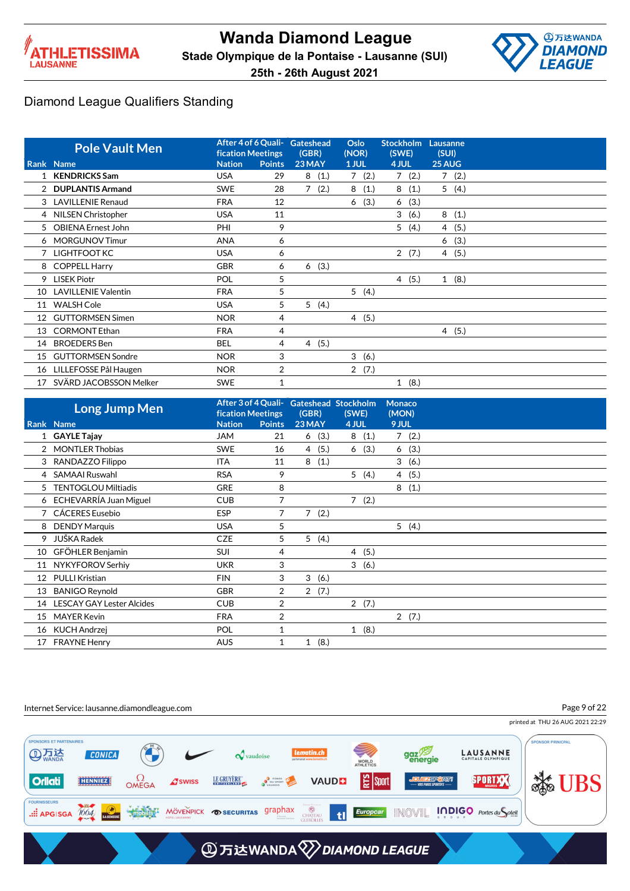



|    | <b>Pole Vault Men</b>      | After 4 of 6 Quali-<br><b>fication Meetings</b> |                | Gateshead<br>(GBR)     | Oslo<br>(NOR) | <b>Stockholm</b><br>(SWE) | Lausanne<br>(SUI) |  |
|----|----------------------------|-------------------------------------------------|----------------|------------------------|---------------|---------------------------|-------------------|--|
|    | Rank Name                  | <b>Nation</b>                                   | <b>Points</b>  | 23 MAY                 | 1 JUL         | 4 JUL                     | 25 AUG            |  |
|    | <b>KENDRICKS Sam</b>       | <b>USA</b>                                      | 29             | (1.)<br>8              | (2.)<br>7     | 7(2.)                     | 7(2.)             |  |
|    | 2 DUPLANTIS Armand         | <b>SWE</b>                                      | 28             | 7<br>(2.)              | 8<br>(1.)     | 8(1.)                     | 5(4.)             |  |
|    | 3 LAVILLENIE Renaud        | <b>FRA</b>                                      | 12             |                        | (3.)<br>6     | 6(3.)                     |                   |  |
|    | 4 NILSEN Christopher       | <b>USA</b>                                      | 11             |                        |               | 3(6.)                     | 8(1.)             |  |
| 5  | <b>OBIENA Ernest John</b>  | PHI                                             | 9              |                        |               | 5<br>(4.)                 | 4 (5.)            |  |
|    | 6 MORGUNOV Timur           | <b>ANA</b>                                      | 6              |                        |               |                           | (3.)<br>6         |  |
|    | 7 LIGHTFOOT KC             | <b>USA</b>                                      | 6              |                        |               | 2(7.)                     | 4(5.)             |  |
|    | 8 COPPELL Harry            | <b>GBR</b>                                      | 6              | (3.)<br>6              |               |                           |                   |  |
| 9  | <b>LISEK Piotr</b>         | POL                                             | 5              |                        |               | 4(5.)                     | (8.)<br>1         |  |
| 10 | <b>LAVILLENIE Valentin</b> | <b>FRA</b>                                      | 5              |                        | 5(4.)         |                           |                   |  |
| 11 | <b>WALSH Cole</b>          | <b>USA</b>                                      | 5              | 5(4.)                  |               |                           |                   |  |
| 12 | <b>GUTTORMSEN Simen</b>    | <b>NOR</b>                                      | 4              |                        | 4(5.)         |                           |                   |  |
| 13 | <b>CORMONT Ethan</b>       | <b>FRA</b>                                      | 4              |                        |               |                           | 4(5.)             |  |
| 14 | <b>BROEDERS</b> Ben        | BEL                                             | 4              | (5.)<br>$\overline{4}$ |               |                           |                   |  |
| 15 | <b>GUTTORMSEN Sondre</b>   | <b>NOR</b>                                      | 3              |                        | 3<br>(6.)     |                           |                   |  |
| 16 | LILLEFOSSE Pål Haugen      | <b>NOR</b>                                      | $\overline{2}$ |                        | 2(7.)         |                           |                   |  |
| 17 | SVÄRD JACOBSSON Melker     | <b>SWE</b>                                      | 1              |                        |               | 1(8.)                     |                   |  |

|    | <b>Long Jump Men</b>             | <b>fication Meetings</b> |               | After 3 of 4 Quali- Gateshead Stockholm<br>(GBR) | (SWE)  | <b>Monaco</b><br>(MON) |  |
|----|----------------------------------|--------------------------|---------------|--------------------------------------------------|--------|------------------------|--|
|    | Rank Name                        | <b>Nation</b>            | <b>Points</b> | 23 MAY                                           | 4 JUL  | 9 JUL                  |  |
|    | 1 GAYLE Tajay                    | <b>JAM</b>               | 21            | 6(3.)                                            | 8(1.)  | 7(2.)                  |  |
|    | 2 MONTLER Thobias                | <b>SWE</b>               | 16            | (5.)<br>$\overline{4}$                           | 6(3.)  | 6(3.)                  |  |
|    | 3 RANDAZZO Filippo               | <b>ITA</b>               | 11            | (1.)<br>8                                        |        | 3(6.)                  |  |
| 4  | <b>SAMAAI Ruswahl</b>            | <b>RSA</b>               | 9             |                                                  | 5 (4.) | 4(5.)                  |  |
| 5  | <b>TENTOGLOU Miltiadis</b>       | <b>GRE</b>               | 8             |                                                  |        | 8<br>(1.)              |  |
| 6  | ECHEVARRÍA Juan Miguel           | <b>CUB</b>               | 7             |                                                  | 7(2.)  |                        |  |
|    | CÁCERES Eusebio                  | <b>ESP</b>               | 7             | $\overline{7}$<br>(2.)                           |        |                        |  |
| 8  | <b>DENDY Marquis</b>             | <b>USA</b>               | 5             |                                                  |        | 5(4.)                  |  |
| 9  | JUŠKA Radek                      | <b>CZE</b>               | 5             | 5(4.)                                            |        |                        |  |
| 10 | GFÖHLER Benjamin                 | <b>SUI</b>               | 4             |                                                  | 4 (5.) |                        |  |
| 11 | NYKYFOROV Serhiy                 | <b>UKR</b>               | 3             |                                                  | 3(6.)  |                        |  |
| 12 | PULLI Kristian                   | <b>FIN</b>               | 3             | 3(6.)                                            |        |                        |  |
| 13 | <b>BANIGO Reynold</b>            | <b>GBR</b>               | 2             | 2(7.)                                            |        |                        |  |
| 14 | <b>LESCAY GAY Lester Alcides</b> | <b>CUB</b>               | 2             |                                                  | 2(7.)  |                        |  |
| 15 | <b>MAYER Kevin</b>               | <b>FRA</b>               | 2             |                                                  |        | 2(7.)                  |  |
|    | 16 KUCH Andrzej                  | POL                      | $\mathbf{1}$  |                                                  | 1(8.)  |                        |  |
| 17 | <b>FRAYNE Henry</b>              | <b>AUS</b>               | 1             | (8.)<br>1                                        |        |                        |  |

#### Internet Service: lausanne.diamondleague.com

Page 9 of 22

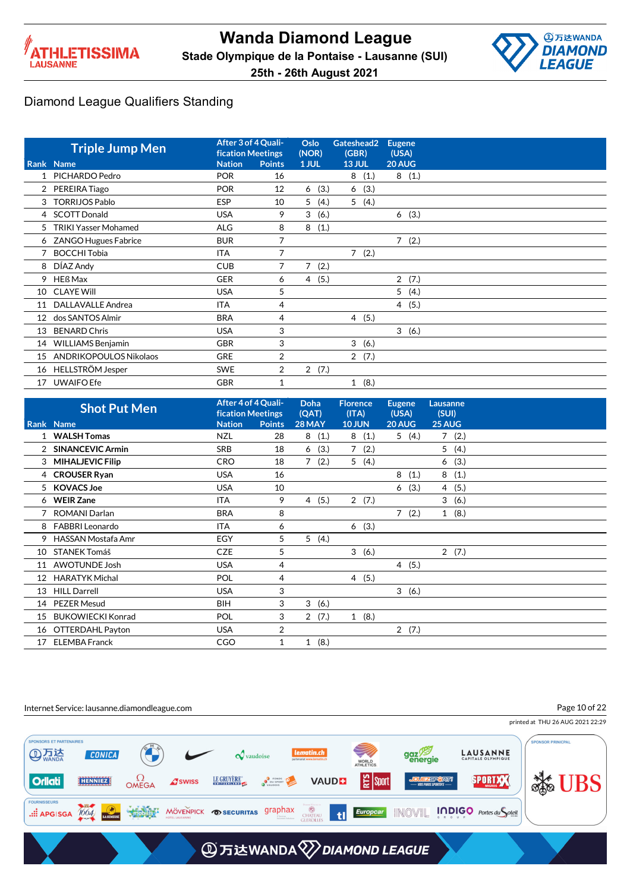



|                   | <b>Triple Jump Men</b>      | <b>fication Meetings</b> | After 3 of 4 Quali- | Oslo<br>(NOR)          | Gateshead2<br>(GBR)  | <b>Eugene</b><br>(USA) |
|-------------------|-----------------------------|--------------------------|---------------------|------------------------|----------------------|------------------------|
|                   | Rank Name                   | <b>Nation</b>            | <b>Points</b>       | 1 JUL                  | <b>13 JUL</b>        | 20 AUG                 |
|                   | PICHARDO Pedro              | <b>POR</b>               | 16                  |                        | (1.)<br>8            | 8(1.)                  |
|                   | 2 PEREIRA Tiago             | <b>POR</b>               | 12                  | (3.)<br>6              | 6(3.)                |                        |
| 3                 | <b>TORRIJOS Pablo</b>       | <b>ESP</b>               | 10                  | 5<br>(4.)              | 5(4.)                |                        |
|                   | 4 SCOTT Donald              | <b>USA</b>               | 9                   | 3<br>(6.)              |                      | 6(3.)                  |
| 5                 | <b>TRIKI Yasser Mohamed</b> | <b>ALG</b>               | 8                   | 8<br>(1.)              |                      |                        |
| 6.                | <b>ZANGO Hugues Fabrice</b> | <b>BUR</b>               | 7                   |                        |                      | $\overline{7}$<br>(2.) |
|                   | <b>BOCCHI Tobia</b>         | <b>ITA</b>               | 7                   |                        | 7(2.)                |                        |
| 8                 | DÍAZ Andy                   | <b>CUB</b>               | 7                   | 7(2.)                  |                      |                        |
| 9                 | HEß Max                     | <b>GER</b>               | 6                   | (5.)<br>$\overline{4}$ |                      | $\overline{2}$<br>(7.) |
| 10                | <b>CLAYE Will</b>           | <b>USA</b>               | 5                   |                        |                      | 5(4.)                  |
| 11                | DALLAVALLE Andrea           | <b>ITA</b>               | 4                   |                        |                      | 4(5.)                  |
| $12 \overline{ }$ | dos SANTOS Almir            | <b>BRA</b>               | 4                   |                        | 4(5.)                |                        |
| 13                | <b>BENARD Chris</b>         | <b>USA</b>               | 3                   |                        |                      | 3(6.)                  |
| 14                | WILLIAMS Benjamin           | <b>GBR</b>               | 3                   |                        | 3<br>(6.)            |                        |
| 15                | ANDRIKOPOULOS Nikolaos      | <b>GRE</b>               | $\overline{2}$      |                        | 2(7.)                |                        |
| 16                | HELLSTRÖM Jesper            | <b>SWE</b>               | 2                   | 2(7.)                  |                      |                        |
| 17                | <b>UWAIFO Efe</b>           | <b>GBR</b>               |                     |                        | (8.)<br>$\mathbf{1}$ |                        |

|                 | <b>Shot Put Men</b>      | After 4 of 4 Quali-<br><b>fication Meetings</b> |                | <b>Doha</b><br>(QAT) | <b>Florence</b><br>(ITA) | <b>Eugene</b><br>(USA) | Lausanne<br>(SUI)      |  |
|-----------------|--------------------------|-------------------------------------------------|----------------|----------------------|--------------------------|------------------------|------------------------|--|
|                 | Rank Name                | <b>Nation</b>                                   | <b>Points</b>  | <b>28 MAY</b>        | <b>10 JUN</b>            | <b>20 AUG</b>          | 25 AUG                 |  |
|                 | 1 WALSH Tomas            | NZL                                             | 28             | 8(1.)                | 8(1.)                    | 5(4.)                  | 7(2.)                  |  |
|                 | <b>SINANCEVIC Armin</b>  | <b>SRB</b>                                      | 18             | (3.)<br>6            | 7(2.)                    |                        | 5(4.)                  |  |
| 3               | <b>MIHALJEVIC Filip</b>  | <b>CRO</b>                                      | 18             | (2.)<br>7            | 5<br>(4.)                |                        | (3.)<br>6              |  |
|                 | 4 CROUSER Ryan           | <b>USA</b>                                      | 16             |                      |                          | 8<br>(1.)              | 8<br>(1.)              |  |
| 5               | <b>KOVACS Joe</b>        | <b>USA</b>                                      | 10             |                      |                          | (3.)<br>6              | (5.)<br>$\overline{4}$ |  |
|                 | 6 WEIR Zane              | ITA                                             | 9              | 4(5.)                | 2(7.)                    |                        | 3<br>(6.)              |  |
|                 | ROMANI Darlan            | <b>BRA</b>                                      | 8              |                      |                          | 7(2.)                  | 1(8.)                  |  |
| 8               | <b>FABBRI Leonardo</b>   | <b>ITA</b>                                      | 6              |                      | 6(3.)                    |                        |                        |  |
| 9               | HASSAN Mostafa Amr       | EGY                                             | 5              | 5<br>(4.)            |                          |                        |                        |  |
| 10              | STANEK Tomáš             | <b>CZE</b>                                      | 5              |                      | 3(6.)                    |                        | 2(7.)                  |  |
| 11              | <b>AWOTUNDE Josh</b>     | <b>USA</b>                                      | 4              |                      |                          | 4(5.)                  |                        |  |
| 12 <sup>°</sup> | <b>HARATYK Michal</b>    | <b>POL</b>                                      | 4              |                      | 4(5.)                    |                        |                        |  |
| 13              | <b>HILL Darrell</b>      | <b>USA</b>                                      | 3              |                      |                          | 3(6.)                  |                        |  |
| 14              | <b>PEZER Mesud</b>       | <b>BIH</b>                                      | 3              | 3<br>(6.)            |                          |                        |                        |  |
| 15              | <b>BUKOWIECKI Konrad</b> | <b>POL</b>                                      | 3              | 2(7.)                | 1(8.)                    |                        |                        |  |
| 16              | OTTERDAHL Payton         | <b>USA</b>                                      | $\overline{2}$ |                      |                          | 2(7.)                  |                        |  |
| 17              | <b>ELEMBA Franck</b>     | CGO                                             | 1              | (8.)<br>$\mathbf{1}$ |                          |                        |                        |  |

#### Internet Service: lausanne.diamondleague.com

Page 10 of 22

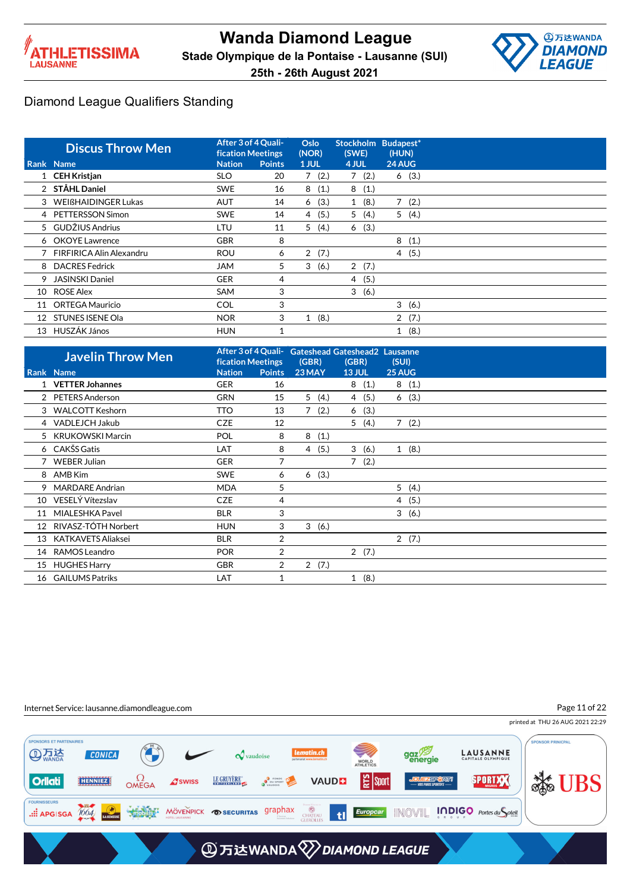



|    | <b>Discus Throw Men</b>    | After 3 of 4 Quali-<br><b>fication Meetings</b> |        | Oslo<br>(NOR)          | <b>Stockholm</b><br>(SWE) | Budapest*<br>(HUN) |
|----|----------------------------|-------------------------------------------------|--------|------------------------|---------------------------|--------------------|
|    | Rank Name                  | <b>Nation</b>                                   | Points | 1 JUL                  | 4 JUL                     | 24 AUG             |
|    | 1 CEH Kristjan             | <b>SLO</b>                                      | 20     | 7(2.)                  | 7(2.)                     | 6(3.)              |
|    | 2 STÅHL Daniel             | <b>SWE</b>                                      | 16     | 8<br>(1.)              | 8<br>(1.)                 |                    |
|    | 3 WEIßHAIDINGER Lukas      | <b>AUT</b>                                      | 14     | (3.)<br>6              | (8.)<br>1                 | 7<br>(2.)          |
|    | 4 PETTERSSON Simon         | <b>SWE</b>                                      | 14     | (5.)<br>4              | 5(4.)                     | 5(4.)              |
|    | 5 GUDŽIUS Andrius          | LTU                                             | 11     | 5<br>(4.)              | (3.)<br>6                 |                    |
|    | 6 OKOYE Lawrence           | <b>GBR</b>                                      | 8      |                        |                           | 8<br>(1.)          |
|    | 7 FIRFIRICA Alin Alexandru | <b>ROU</b>                                      | 6      | $\overline{2}$<br>(7.) |                           | 4(5.)              |
|    | 8 DACRES Fedrick           | <b>JAM</b>                                      | 5      | 3<br>(6.)              | 2(7.)                     |                    |
| 9  | <b>JASINSKI Daniel</b>     | <b>GER</b>                                      | 4      |                        | 4 (5.)                    |                    |
| 10 | <b>ROSE Alex</b>           | SAM                                             | 3      |                        | 3<br>(6.)                 |                    |
| 11 | ORTEGA Mauricio            | <b>COL</b>                                      | 3      |                        |                           | 3<br>(6.)          |
| 12 | <b>STUNES ISENE Ola</b>    | <b>NOR</b>                                      | 3      | (8.)<br>1              |                           | 2(7.)              |
| 13 | HUSZÁK János               | <b>HUN</b>                                      | 1      |                        |                           | (8.)<br>1          |

|    | <b>Javelin Throw Men</b>  | <b>fication Meetings</b> |                | After 3 of 4 Quali- Gateshead Gateshead2 Lausanne<br>(GBR) | (GBR)         | (SUI)  |  |
|----|---------------------------|--------------------------|----------------|------------------------------------------------------------|---------------|--------|--|
|    | Rank Name                 | <b>Nation</b>            | <b>Points</b>  | 23 MAY                                                     | <b>13 JUL</b> | 25 AUG |  |
|    | 1 VETTER Johannes         | <b>GER</b>               | 16             |                                                            | 8(1.)         | 8(1.)  |  |
|    | 2 PETERS Anderson         | <b>GRN</b>               | 15             | 5(4.)                                                      | 4(5.)         | 6(3.)  |  |
|    | 3 WALCOTT Keshorn         | <b>TTO</b>               | 13             | 7(2.)                                                      | 6(3.)         |        |  |
|    | 4 VADLEJCH Jakub          | <b>CZE</b>               | 12             |                                                            | 5(4.)         | 7(2.)  |  |
|    | 5 KRUKOWSKI Marcin        | <b>POL</b>               | 8              | 8(1.)                                                      |               |        |  |
|    | 6 CAKŠS Gatis             | LAT                      | 8              | 4(5.)                                                      | 3(6.)         | 1(8.)  |  |
|    | <b>WEBER Julian</b>       | <b>GER</b>               | 7              |                                                            | 7(2.)         |        |  |
| 8  | AMB Kim                   | <b>SWE</b>               | 6              | 6(3.)                                                      |               |        |  |
| 9  | <b>MARDARE Andrian</b>    | <b>MDA</b>               | 5              |                                                            |               | 5(4.)  |  |
| 10 | VESELÝ Vítezslav          | <b>CZE</b>               | 4              |                                                            |               | 4(5.)  |  |
| 11 | MIALESHKA Pavel           | <b>BLR</b>               | 3              |                                                            |               | 3(6.)  |  |
| 12 | RIVASZ-TÓTH Norbert       | <b>HUN</b>               | 3              | 3(6.)                                                      |               |        |  |
| 13 | <b>KATKAVETS Aliaksei</b> | <b>BLR</b>               | 2              |                                                            |               | 2(7.)  |  |
| 14 | RAMOS Leandro             | <b>POR</b>               | $\overline{2}$ |                                                            | 2(7.)         |        |  |
| 15 | <b>HUGHES Harry</b>       | <b>GBR</b>               | 2              | 2(7.)                                                      |               |        |  |
| 16 | <b>GAILUMS Patriks</b>    | LAT                      |                |                                                            | 1(8.)         |        |  |

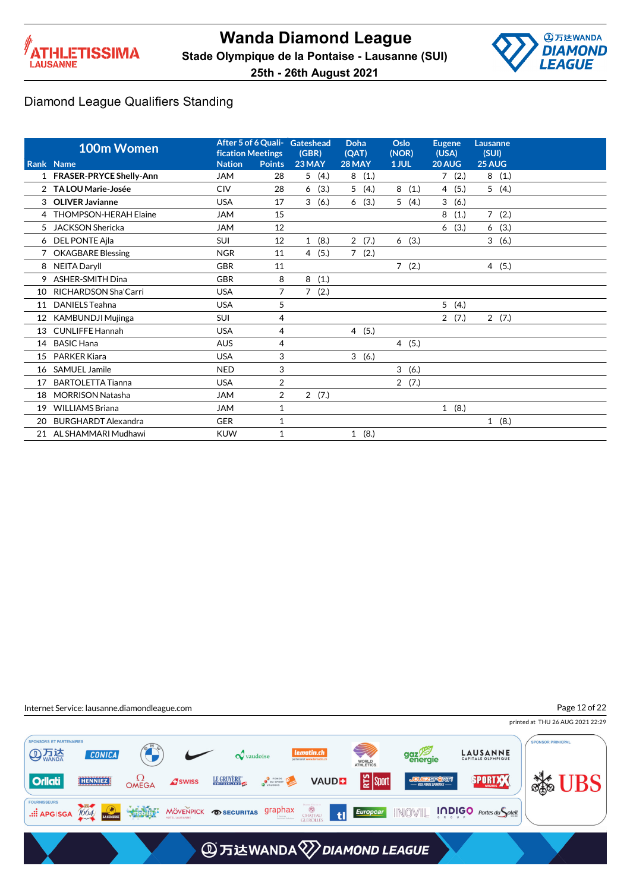



Page 12 of 22

#### Diamond League Qualifiers Standing

|    | 100m Women<br>Rank Name     | fication Meetings<br><b>Nation</b> | <b>Points</b>  | After 5 of 6 Quali- Gateshead<br>(GBR)<br>23 MAY | Doha<br>(QAT)<br>28 MAY | Oslo<br>(NOR)<br>1 JUL | <b>Eugene</b><br>(USA)<br>20 AUG | Lausanne<br>(SUI)<br>25 AUG |
|----|-----------------------------|------------------------------------|----------------|--------------------------------------------------|-------------------------|------------------------|----------------------------------|-----------------------------|
|    | 1 FRASER-PRYCE Shelly-Ann   | <b>JAM</b>                         | 28             | 5<br>(4.)                                        | (1.)<br>8               |                        | 7(2.)                            | 8<br>(1.)                   |
|    | 2 TA LOU Marie-Josée        | <b>CIV</b>                         | 28             | (3.)<br>6                                        | 5<br>(4.)               | 8<br>(1.)              | 4(5.)                            | 5(4.)                       |
| 3  | <b>OLIVER Javianne</b>      | <b>USA</b>                         | 17             | 3<br>(6.)                                        | (3.)<br>6               | 5(4.)                  | 3<br>(6.)                        |                             |
|    | 4 THOMPSON-HERAH Elaine     | <b>JAM</b>                         | 15             |                                                  |                         |                        | 8<br>(1.)                        | 7(2.)                       |
| 5  | <b>JACKSON Shericka</b>     | <b>JAM</b>                         | 12             |                                                  |                         |                        | (3.)<br>6                        | (3.)<br>6                   |
| 6  | DEL PONTE Ajla              | <b>SUI</b>                         | 12             | 1(8.)                                            | 2(7.)                   | 6(3.)                  |                                  | 3<br>(6.)                   |
|    | <b>OKAGBARE Blessing</b>    | <b>NGR</b>                         | 11             | (5.)<br>$\overline{4}$                           | 7(2.)                   |                        |                                  |                             |
| 8  | <b>NEITA Daryll</b>         | <b>GBR</b>                         | 11             |                                                  |                         | $\overline{7}$<br>(2.) |                                  | 4(5.)                       |
| 9  | <b>ASHER-SMITH Dina</b>     | <b>GBR</b>                         | 8              | 8<br>(1.)                                        |                         |                        |                                  |                             |
| 10 | <b>RICHARDSON Sha'Carri</b> | <b>USA</b>                         | 7              | (2.)<br>7                                        |                         |                        |                                  |                             |
| 11 | <b>DANIELS Teahna</b>       | <b>USA</b>                         | 5              |                                                  |                         |                        | 5(4.)                            |                             |
| 12 | <b>KAMBUNDJI Mujinga</b>    | <b>SUI</b>                         | 4              |                                                  |                         |                        | (7.)<br>$\overline{2}$           | 2(7.)                       |
| 13 | <b>CUNLIFFE Hannah</b>      | <b>USA</b>                         | 4              |                                                  | 4(5.)                   |                        |                                  |                             |
| 14 | <b>BASIC Hana</b>           | <b>AUS</b>                         | 4              |                                                  |                         | 4(5.)                  |                                  |                             |
| 15 | <b>PARKER Kiara</b>         | <b>USA</b>                         | 3              |                                                  | 3<br>(6.)               |                        |                                  |                             |
| 16 | SAMUEL Jamile               | <b>NED</b>                         | 3              |                                                  |                         | 3<br>(6.)              |                                  |                             |
| 17 | <b>BARTOLETTA Tianna</b>    | <b>USA</b>                         | $\overline{2}$ |                                                  |                         | 2(7.)                  |                                  |                             |
| 18 | <b>MORRISON Natasha</b>     | <b>JAM</b>                         | $\overline{2}$ | 2(7.)                                            |                         |                        |                                  |                             |
| 19 | <b>WILLIAMS Briana</b>      | <b>JAM</b>                         | $\mathbf{1}$   |                                                  |                         |                        | (8.)<br>$\mathbf{1}$             |                             |
| 20 | <b>BURGHARDT Alexandra</b>  | <b>GER</b>                         | $\mathbf{1}$   |                                                  |                         |                        |                                  | 1(8.)                       |
|    | 21 AL SHAMMARI Mudhawi      | <b>KUW</b>                         | 1              |                                                  | 1(8.)                   |                        |                                  |                             |



printed at THU 26 AUG 2021 22:29 PONSORS ET PARTENAIRES **PONSOR PRINICPAL** gaz<sup>79</sup> **AD 万法 CONICA LAUSANNE**  $\boldsymbol{\mathcal{Q}}$  vaudoise WORLD<br>ATHLETICS **Solution**  $\Omega$ OMEGA LE GRUYÈRE **D** FONDS<br>
POUSPORT | 일 sport **SPORTXX Orliati** HENNIEZ **VAUDE A**swiss त्र्याध .::: APGISGA 1004 MODULS MÖVENPICK OSECURITAS graphax CHATEAU<br>GLEROLLES  $t$ **AD 万达WANDA VDIAMOND LEAGUE**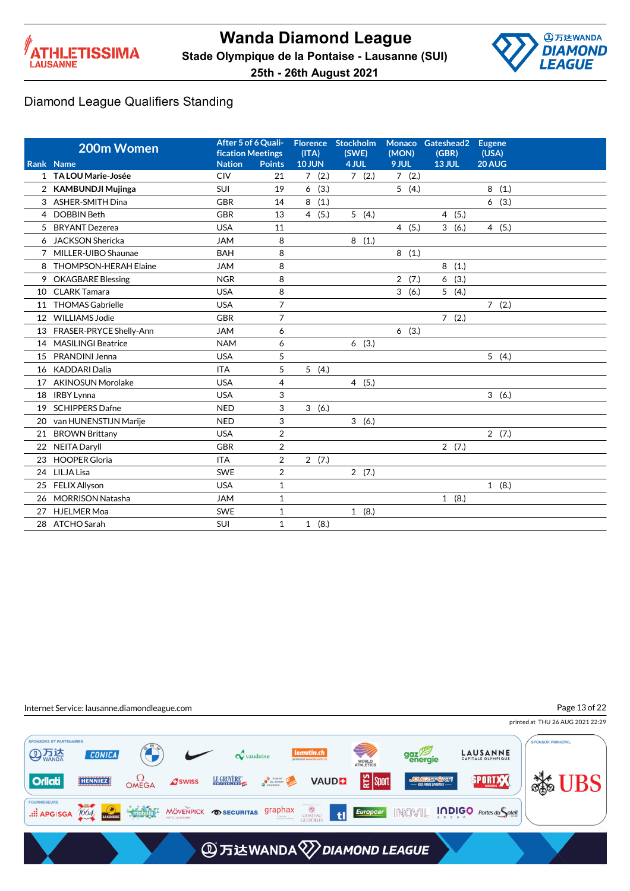



|                | 200m Women                        | After 5 of 6 Quali-<br><b>fication Meetings</b> |                     | (ITA)                  | Florence Stockholm<br>(SWE) | <b>Monaco</b><br>(MON) | Gateshead2<br>(GBR) | <b>Eugene</b><br>(USA) |
|----------------|-----------------------------------|-------------------------------------------------|---------------------|------------------------|-----------------------------|------------------------|---------------------|------------------------|
|                | Rank Name<br>1 TA LOU Marie-Josée | <b>Nation</b><br><b>CIV</b>                     | <b>Points</b><br>21 | <b>10 JUN</b><br>7(2.) | 4 JUL<br>7(2.)              | 9 JUL<br>7(2.)         | <b>13 JUL</b>       | 20 AUG                 |
|                | <b>KAMBUNDJI Mujinga</b>          | SUI                                             | 19                  | 6<br>(3.)              |                             |                        |                     | 8(1.)                  |
| $\overline{2}$ |                                   |                                                 |                     |                        |                             | 5(4.)                  |                     |                        |
| 3              | <b>ASHER-SMITH Dina</b>           | <b>GBR</b>                                      | 14                  | 8<br>(1.)              |                             |                        |                     | 6(3.)                  |
|                | 4 DOBBIN Beth                     | <b>GBR</b>                                      | 13                  | 4(5.)                  | 5(4.)                       |                        | 4(5.)               |                        |
| 5              | <b>BRYANT</b> Dezerea             | <b>USA</b>                                      | 11                  |                        |                             | 4(5.)                  | 3<br>(6.)           | 4(5.)                  |
| 6              | <b>JACKSON Shericka</b>           | <b>JAM</b>                                      | 8                   |                        | 8(1.)                       |                        |                     |                        |
| 7              | MILLER-UIBO Shaunae               | <b>BAH</b>                                      | 8                   |                        |                             | 8<br>(1.)              |                     |                        |
| 8              | <b>THOMPSON-HERAH Elaine</b>      | <b>JAM</b>                                      | 8                   |                        |                             |                        | 8<br>(1.)           |                        |
| 9.             | <b>OKAGBARE Blessing</b>          | <b>NGR</b>                                      | 8                   |                        |                             | 2(7.)                  | (3.)<br>6           |                        |
| 10             | <b>CLARK Tamara</b>               | <b>USA</b>                                      | 8                   |                        |                             | 3(6.)                  | 5(4.)               |                        |
| 11             | <b>THOMAS Gabrielle</b>           | <b>USA</b>                                      | $\overline{7}$      |                        |                             |                        |                     | 7(2.)                  |
| 12             | <b>WILLIAMS Jodie</b>             | <b>GBR</b>                                      | $\overline{7}$      |                        |                             |                        | 7(2.)               |                        |
| 13             | FRASER-PRYCE Shelly-Ann           | <b>JAM</b>                                      | 6                   |                        |                             | 6(3.)                  |                     |                        |
| 14             | <b>MASILINGI Beatrice</b>         | <b>NAM</b>                                      | 6                   |                        | 6(3.)                       |                        |                     |                        |
| 15             | PRANDINI Jenna                    | <b>USA</b>                                      | 5                   |                        |                             |                        |                     | 5(4.)                  |
| 16             | <b>KADDARI Dalia</b>              | <b>ITA</b>                                      | 5                   | 5(4.)                  |                             |                        |                     |                        |
| 17             | <b>AKINOSUN Morolake</b>          | <b>USA</b>                                      | $\overline{4}$      |                        | 4(5.)                       |                        |                     |                        |
| 18             | <b>IRBY Lynna</b>                 | <b>USA</b>                                      | 3                   |                        |                             |                        |                     | 3(6.)                  |
| 19             | <b>SCHIPPERS Dafne</b>            | <b>NED</b>                                      | 3                   | 3(6.)                  |                             |                        |                     |                        |
| 20             | van HUNENSTIJN Marije             | <b>NED</b>                                      | 3                   |                        | 3(6.)                       |                        |                     |                        |
| 21             | <b>BROWN Brittany</b>             | <b>USA</b>                                      | $\overline{2}$      |                        |                             |                        |                     | 2(7.)                  |
| 22             | NEITA Daryll                      | <b>GBR</b>                                      | $\overline{2}$      |                        |                             |                        | 2(7.)               |                        |
| 23             | <b>HOOPER Gloria</b>              | <b>ITA</b>                                      | $\overline{2}$      | 2(7.)                  |                             |                        |                     |                        |
| 24             | LILJA Lisa                        | <b>SWE</b>                                      | $\overline{2}$      |                        | 2(7.)                       |                        |                     |                        |
| 25             | <b>FELIX Allyson</b>              | <b>USA</b>                                      | $\mathbf{1}$        |                        |                             |                        |                     | 1(8.)                  |
| 26             | <b>MORRISON Natasha</b>           | <b>JAM</b>                                      | $\mathbf{1}$        |                        |                             |                        | 1(8.)               |                        |
| 27             | <b>HJELMER Moa</b>                | <b>SWE</b>                                      | $\mathbf{1}$        |                        | 1(8.)                       |                        |                     |                        |
|                | 28 ATCHO Sarah                    | SUI                                             | $\mathbf{1}$        | 1(8.)                  |                             |                        |                     |                        |
|                |                                   |                                                 |                     |                        |                             |                        |                     |                        |

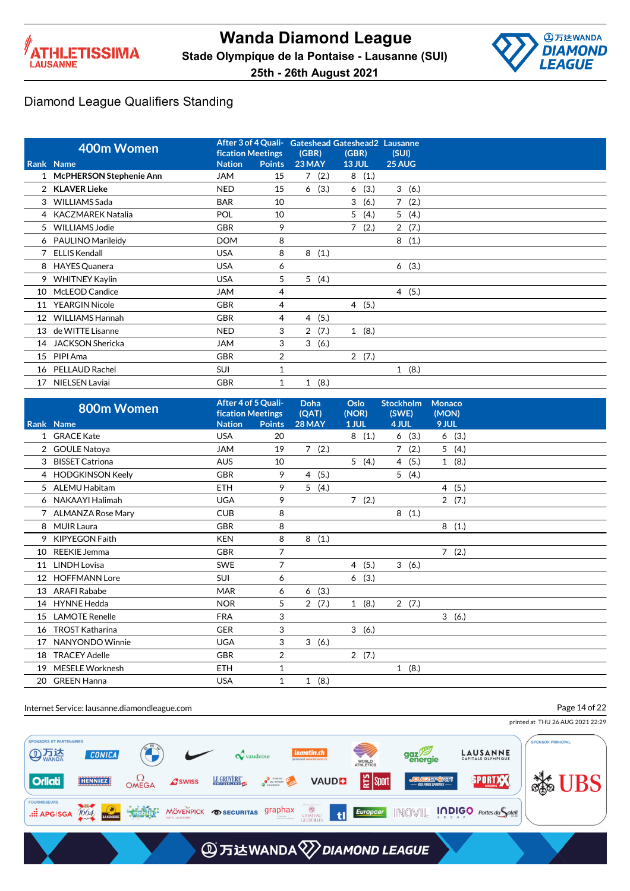



|    |                                |                          |                | After 3 of 4 Quali- Gateshead Gateshead 2 Lausanne |                |        |             |       |
|----|--------------------------------|--------------------------|----------------|----------------------------------------------------|----------------|--------|-------------|-------|
|    | 400m Women                     | <b>fication Meetings</b> |                | (GBR)                                              | (GBR)          |        | (SUI)       |       |
|    | Rank Name                      | <b>Nation</b>            | <b>Points</b>  | 23 MAY                                             | <b>13 JUL</b>  |        | 25 AUG      |       |
|    | <b>McPHERSON Stephenie Ann</b> | <b>JAM</b>               | 15             | (2.)<br>7                                          |                | 8(1.)  |             |       |
|    | 2 KLAVER Lieke                 | <b>NED</b>               | 15             | (3.)<br>6                                          | 6              | (3.)   |             | 3(6.) |
|    | 3 WILLIAMS Sada                | <b>BAR</b>               | 10             |                                                    | 3              | (6.)   | $7^{\circ}$ | (2.)  |
| 4  | KACZMAREK Natalia              | POL                      | 10             |                                                    | 5              | (4.)   |             | 5(4.) |
|    | 5 WILLIAMS Jodie               | <b>GBR</b>               | 9              |                                                    | $\overline{7}$ | (2.)   |             | 2(7.) |
|    | 6 PAULINO Marileidy            | <b>DOM</b>               | 8              |                                                    |                |        | 8           | (1.)  |
|    | <b>ELLIS Kendall</b>           | <b>USA</b>               | 8              | 8<br>(1.)                                          |                |        |             |       |
| 8  | <b>HAYES Quanera</b>           | <b>USA</b>               | 6              |                                                    |                |        |             | 6(3.) |
| 9  | <b>WHITNEY Kaylin</b>          | <b>USA</b>               | 5              | 5(4.)                                              |                |        |             |       |
| 10 | McLEOD Candice                 | <b>JAM</b>               | 4              |                                                    |                |        |             | 4(5.) |
| 11 | <b>YEARGIN Nicole</b>          | <b>GBR</b>               | 4              |                                                    |                | 4 (5.) |             |       |
| 12 | <b>WILLIAMS Hannah</b>         | <b>GBR</b>               | 4              | (5.)<br>4                                          |                |        |             |       |
| 13 | de WITTE Lisanne               | <b>NED</b>               | 3              | (7.)<br>2                                          |                | 1(8.)  |             |       |
| 14 | JACKSON Shericka               | <b>JAM</b>               | 3              | 3<br>(6.)                                          |                |        |             |       |
| 15 | PIPI Ama                       | <b>GBR</b>               | $\overline{2}$ |                                                    |                | 2(7.)  |             |       |
| 16 | PELLAUD Rachel                 | SUI                      |                |                                                    |                |        |             | 1(8.) |
| 17 | NIELSEN Laviai                 | <b>GBR</b>               | 1              | (8.)<br>$\mathbf{1}$                               |                |        |             |       |

|                 | 800m Women             | After 4 of 5 Quali-<br><b>fication Meetings</b> |                | Doha<br>(QAT)          | Oslo<br>(NOR) | <b>Stockholm</b><br>(SWE) | <b>Monaco</b><br>(MON) |  |
|-----------------|------------------------|-------------------------------------------------|----------------|------------------------|---------------|---------------------------|------------------------|--|
|                 | Rank Name              | <b>Nation</b>                                   | <b>Points</b>  | 28 MAY                 | 1 JUL         | 4 JUL                     | 9 JUL                  |  |
|                 | <b>GRACE Kate</b>      | <b>USA</b>                                      | 20             |                        | 8(1.)         | 6(3.)                     | 6(3.)                  |  |
|                 | 2 GOULE Natoya         | <b>JAM</b>                                      | 19             | 7(2.)                  |               | 7(2.)                     | 5(4.)                  |  |
| 3               | <b>BISSET Catriona</b> | <b>AUS</b>                                      | 10             |                        | 5(4.)         | 4 (5.)                    | 1(8.)                  |  |
|                 | 4 HODGKINSON Keely     | <b>GBR</b>                                      | 9              | (5.)<br>$\overline{4}$ |               | 5(4.)                     |                        |  |
|                 | 5 ALEMU Habitam        | <b>ETH</b>                                      | 9              | 5(4.)                  |               |                           | 4(5.)                  |  |
| 6               | NAKAAYI Halimah        | <b>UGA</b>                                      | 9              |                        | 7(2.)         |                           | 2(7.)                  |  |
|                 | 7 ALMANZA Rose Mary    | <b>CUB</b>                                      | 8              |                        |               | 8(1.)                     |                        |  |
|                 | 8 MUIR Laura           | <b>GBR</b>                                      | 8              |                        |               |                           | 8<br>(1.)              |  |
| 9               | <b>KIPYEGON Faith</b>  | <b>KEN</b>                                      | 8              | 8(1.)                  |               |                           |                        |  |
| 10              | <b>REEKIE Jemma</b>    | <b>GBR</b>                                      | 7              |                        |               |                           | 7(2.)                  |  |
| 11              | LINDH Lovisa           | <b>SWE</b>                                      | 7              |                        | 4(5.)         | 3(6.)                     |                        |  |
| 12 <sup>2</sup> | <b>HOFFMANN Lore</b>   | <b>SUI</b>                                      | 6              |                        | 6(3.)         |                           |                        |  |
| 13              | <b>ARAFI Rababe</b>    | <b>MAR</b>                                      | 6              | (3.)<br>6              |               |                           |                        |  |
|                 | 14 HYNNE Hedda         | <b>NOR</b>                                      | 5              | 2<br>(7.)              | 1(8.)         | 2(7.)                     |                        |  |
| 15              | <b>LAMOTE Renelle</b>  | <b>FRA</b>                                      | 3              |                        |               |                           | 3(6.)                  |  |
| 16              | <b>TROST Katharina</b> | <b>GER</b>                                      | 3              |                        | 3(6.)         |                           |                        |  |
| 17              | NANYONDO Winnie        | <b>UGA</b>                                      | 3              | 3<br>(6.)              |               |                           |                        |  |
| 18              | <b>TRACEY Adelle</b>   | <b>GBR</b>                                      | $\overline{2}$ |                        | 2(7.)         |                           |                        |  |
| 19              | MESELE Worknesh        | <b>ETH</b>                                      | 1              |                        |               | 1(8.)                     |                        |  |
| 20              | <b>GREEN Hanna</b>     | <b>USA</b>                                      | 1              | 1(8.)                  |               |                           |                        |  |

Internet Service: lausanne.diamondleague.com

Page 14 of 22

printed at THU 26 AUG 2021 22:29

PONSORS ET PARTENAIRES ONSOR PRINICPAL **AD 万法** gaz<sup>79</sup> **LAUSANNE CONICA**  $\boldsymbol{\mathcal{Q}}$  vaudoise WORLD<br>ATHLETICS **Solution** | 일 sport  $\Omega$ OMEGA LE GRUYÈRE" **D** FONDS<br>
POUSPORT **SPORTXX Orliati** HENNIEZ **A**swiss **VAUDE** .:: APGISGA 1004 MODULS MÖVENPICK OSECURITAS graphax CHATEAU<br>GLEROLLES til

# **AD 万达WANDA VDIAMOND LEAGUE**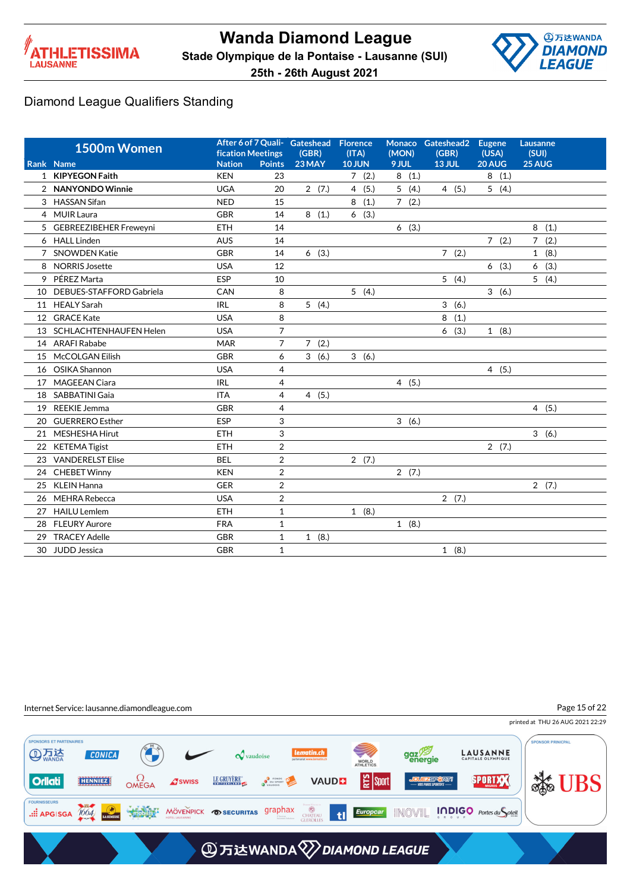



|    | 1500m Women              | <b>fication Meetings</b> |                | After 6 of 7 Quali- Gateshead<br>(GBR) | Florence<br>(ITA) | (MON) | Monaco Gateshead2<br>(GBR) | <b>Eugene</b><br>(USA) | Lausanne<br>(SUI)      |
|----|--------------------------|--------------------------|----------------|----------------------------------------|-------------------|-------|----------------------------|------------------------|------------------------|
|    | Rank Name                | <b>Nation</b>            | <b>Points</b>  | 23 MAY                                 | <b>10 JUN</b>     | 9 JUL | <b>13 JUL</b>              | 20 AUG                 | 25 AUG                 |
|    | 1 KIPYEGON Faith         | <b>KEN</b>               | 23             |                                        | 7(2.)             | 8(1.) |                            | 8(1.)                  |                        |
|    | 2 NANYONDO Winnie        | <b>UGA</b>               | 20             | 2(7.)                                  | 4(5.)             | 5(4.) | 4(5.)                      | 5(4.)                  |                        |
|    | 3 HASSAN Sifan           | <b>NED</b>               | 15             |                                        | 8<br>(1.)         | 7(2.) |                            |                        |                        |
|    | 4 MUIR Laura             | <b>GBR</b>               | 14             | 8(1.)                                  | 6(3.)             |       |                            |                        |                        |
|    | 5 GEBREEZIBEHER Freweyni | <b>ETH</b>               | 14             |                                        |                   | 6(3.) |                            |                        | 8<br>(1.)              |
|    | 6 HALL Linden            | <b>AUS</b>               | 14             |                                        |                   |       |                            | 7(2.)                  | $\overline{7}$<br>(2.) |
|    | 7 SNOWDEN Katie          | <b>GBR</b>               | 14             | 6(3.)                                  |                   |       | 7(2.)                      |                        | 1(8.)                  |
| 8  | <b>NORRIS Josette</b>    | <b>USA</b>               | 12             |                                        |                   |       |                            | 6(3.)                  | (3.)<br>6              |
| 9  | PÉREZ Marta              | <b>ESP</b>               | 10             |                                        |                   |       | 5(4.)                      |                        | 5(4.)                  |
| 10 | DEBUES-STAFFORD Gabriela | CAN                      | 8              |                                        | 5(4.)             |       |                            | 3(6.)                  |                        |
| 11 | <b>HEALY Sarah</b>       | <b>IRL</b>               | 8              | 5(4.)                                  |                   |       | 3(6.)                      |                        |                        |
|    | 12 GRACE Kate            | <b>USA</b>               | 8              |                                        |                   |       | 8<br>(1.)                  |                        |                        |
| 13 | SCHLACHTENHAUFEN Helen   | <b>USA</b>               | $\overline{7}$ |                                        |                   |       | 6(3.)                      | 1(8.)                  |                        |
|    | 14 ARAFI Rababe          | <b>MAR</b>               | 7              | 7(2.)                                  |                   |       |                            |                        |                        |
| 15 | McCOLGAN Eilish          | <b>GBR</b>               | 6              | 3(6.)                                  | 3(6.)             |       |                            |                        |                        |
| 16 | OSIKA Shannon            | <b>USA</b>               | 4              |                                        |                   |       |                            | 4(5.)                  |                        |
| 17 | <b>MAGEEAN Ciara</b>     | <b>IRL</b>               | 4              |                                        |                   | 4(5.) |                            |                        |                        |
| 18 | SABBATINI Gaia           | <b>ITA</b>               | 4              | 4(5.)                                  |                   |       |                            |                        |                        |
| 19 | <b>REEKIE Jemma</b>      | <b>GBR</b>               | 4              |                                        |                   |       |                            |                        | 4(5.)                  |
| 20 | <b>GUERRERO Esther</b>   | <b>ESP</b>               | 3              |                                        |                   | 3(6.) |                            |                        |                        |
| 21 | MESHESHA Hirut           | <b>ETH</b>               | 3              |                                        |                   |       |                            |                        | 3(6.)                  |
| 22 | <b>KETEMA Tigist</b>     | <b>ETH</b>               | $\overline{2}$ |                                        |                   |       |                            | 2(7.)                  |                        |
| 23 | <b>VANDERELST Elise</b>  | <b>BEL</b>               | $\overline{2}$ |                                        | 2(7.)             |       |                            |                        |                        |
| 24 | <b>CHEBET Winny</b>      | <b>KEN</b>               | $\overline{2}$ |                                        |                   | 2(7.) |                            |                        |                        |
| 25 | <b>KLEIN Hanna</b>       | <b>GER</b>               | $\overline{2}$ |                                        |                   |       |                            |                        | 2(7.)                  |
| 26 | MEHRA Rebecca            | <b>USA</b>               | $\overline{2}$ |                                        |                   |       | 2(7.)                      |                        |                        |
| 27 | <b>HAILU Lemlem</b>      | <b>ETH</b>               | $\mathbf{1}$   |                                        | 1(8.)             |       |                            |                        |                        |
| 28 | <b>FLEURY Aurore</b>     | <b>FRA</b>               | $\mathbf{1}$   |                                        |                   | 1(8.) |                            |                        |                        |
| 29 | <b>TRACEY Adelle</b>     | <b>GBR</b>               | 1              | 1(8.)                                  |                   |       |                            |                        |                        |
| 30 | JUDD Jessica             | <b>GBR</b>               | 1              |                                        |                   |       | 1(8.)                      |                        |                        |

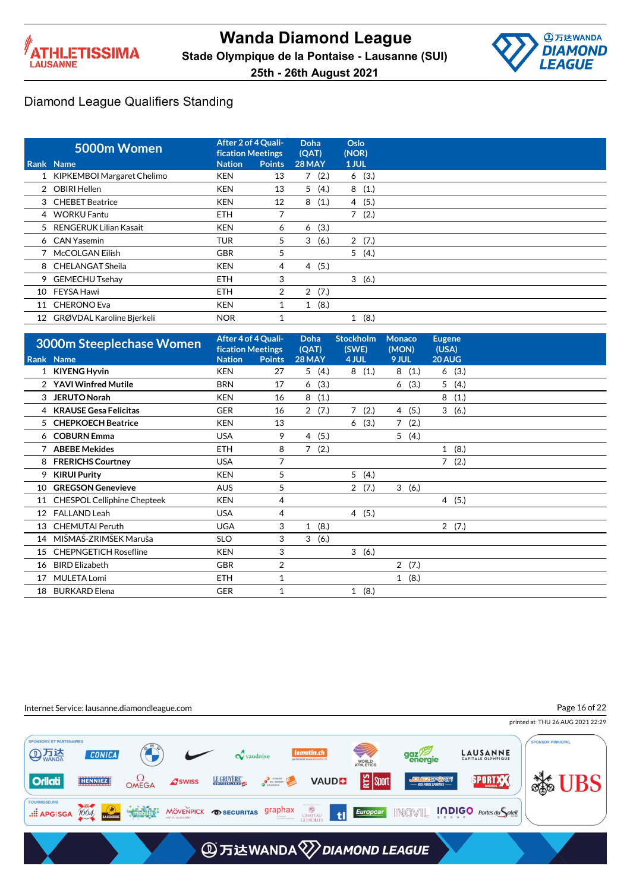



|                 | 5000m Women                | After 2 of 4 Quali-<br><b>fication Meetings</b> |                | Doha<br>(QAT)          | Oslo<br>(NOR)        |
|-----------------|----------------------------|-------------------------------------------------|----------------|------------------------|----------------------|
|                 | Rank Name                  | <b>Nation</b>                                   | <b>Points</b>  | <b>28 MAY</b>          | 1 JUL                |
|                 | KIPKEMBOI Margaret Chelimo | <b>KEN</b>                                      | 13             | 7(2.)                  | 6(3.)                |
|                 | 2 OBIRI Hellen             | KEN                                             | 13             | 5(4.)                  | 8<br>(1.)            |
|                 | 3 CHEBET Beatrice          | <b>KEN</b>                                      | 12             | 8<br>(1.)              | (5.)<br>4            |
|                 | 4 WORKU Fantu              | <b>ETH</b>                                      | $\overline{ }$ |                        | 7<br>(2.)            |
|                 | 5 RENGERUK Lilian Kasait   | <b>KEN</b>                                      | 6              | (3.)<br>6              |                      |
|                 | 6 CAN Yasemin              | <b>TUR</b>                                      | 5              | 3<br>(6.)              | 2(7.)                |
|                 | 7 McCOLGAN Eilish          | <b>GBR</b>                                      | 5              |                        | 5(4.)                |
|                 | 8 CHELANGAT Sheila         | <b>KEN</b>                                      | 4              | (5.)<br>$\overline{4}$ |                      |
|                 | 9 GEMECHU Tsehay           | <b>ETH</b>                                      | 3              |                        | 3(6.)                |
| 10              | FEYSA Hawi                 | <b>ETH</b>                                      | 2              | 2(7.)                  |                      |
| 11              | <b>CHERONO Eva</b>         | <b>KEN</b>                                      |                | 1(8.)                  |                      |
| 12 <sup>2</sup> | GRØVDAL Karoline Bjerkeli  | <b>NOR</b>                                      |                |                        | (8.)<br>$\mathbf{1}$ |

|                                                                 |                                                                |               | Doha<br>(QAT)                                   | <b>Stockholm</b><br>(SWE) | <b>Monaco</b><br>(MON) | <b>Eugene</b><br>(USA) |
|-----------------------------------------------------------------|----------------------------------------------------------------|---------------|-------------------------------------------------|---------------------------|------------------------|------------------------|
|                                                                 | <b>Nation</b>                                                  | <b>Points</b> | 28 MAY                                          | 4 JUL                     | 9 JUL                  | 20 AUG                 |
|                                                                 | <b>KEN</b>                                                     | 27            | 5(4.)                                           | 8(1.)                     | 8<br>(1.)              | 6(3.)                  |
| <b>YAVI Winfred Mutile</b>                                      | <b>BRN</b>                                                     | 17            | (3.)<br>6                                       |                           | (3.)<br>6              | 5<br>(4.)              |
| <b>JERUTO Norah</b>                                             | <b>KEN</b>                                                     | 16            | 8<br>(1.)                                       |                           |                        | 8<br>(1.)              |
| <b>KRAUSE Gesa Felicitas</b>                                    | <b>GER</b>                                                     | 16            | 2(7.)                                           | (2.)<br>7                 | (5.)<br>4              | 3(6.)                  |
| <b>CHEPKOECH Beatrice</b>                                       | <b>KEN</b>                                                     | 13            |                                                 | (3.)<br>6                 | (2.)<br>$\overline{7}$ |                        |
| <b>COBURN Emma</b>                                              | <b>USA</b>                                                     | 9             | (5.)<br>$\overline{4}$                          |                           | 5<br>(4.)              |                        |
| <b>ABEBE Mekides</b>                                            | <b>ETH</b>                                                     | 8             | 7(2.)                                           |                           |                        | 1(8.)                  |
| <b>FRERICHS Courtney</b>                                        | <b>USA</b>                                                     | 7             |                                                 |                           |                        | 7(2.)                  |
| <b>KIRUI Purity</b>                                             | <b>KEN</b>                                                     | 5             |                                                 | 5(4.)                     |                        |                        |
| <b>GREGSON Genevieve</b>                                        | <b>AUS</b>                                                     | 5             |                                                 | 2(7.)                     | 3(6.)                  |                        |
| <b>CHESPOL Celliphine Chepteek</b>                              | <b>KEN</b>                                                     | 4             |                                                 |                           |                        | 4(5.)                  |
| <b>FALLAND Leah</b>                                             | <b>USA</b>                                                     | 4             |                                                 | 4(5.)                     |                        |                        |
| <b>CHEMUTAI Peruth</b>                                          | <b>UGA</b>                                                     | 3             | (8.)<br>1                                       |                           |                        | 2(7.)                  |
| MIŠMAŠ-ZRIMŠEK Maruša                                           | <b>SLO</b>                                                     | 3             | 3(6.)                                           |                           |                        |                        |
| <b>CHEPNGETICH Rosefline</b>                                    | <b>KEN</b>                                                     | 3             |                                                 | 3(6.)                     |                        |                        |
| <b>BIRD Elizabeth</b>                                           | <b>GBR</b>                                                     | 2             |                                                 |                           | $\overline{2}$<br>(7.) |                        |
| <b>MULETA Lomi</b>                                              | ETH.                                                           | $\mathbf{1}$  |                                                 |                           | 1(8.)                  |                        |
| <b>BURKARD Elena</b>                                            | <b>GER</b>                                                     | 1             |                                                 | 1(8.)                     |                        |                        |
| 3<br>4<br>5<br>6<br>9<br>10<br>12<br>13<br>14<br>15<br>16<br>18 | <b>3000m Steeplechase Women</b><br>Rank Name<br>1 KIYENG Hyvin |               | After 4 of 4 Quali-<br><b>fication Meetings</b> |                           |                        |                        |

Internet Service: lausanne.diamondleague.com

Page 16 of 22

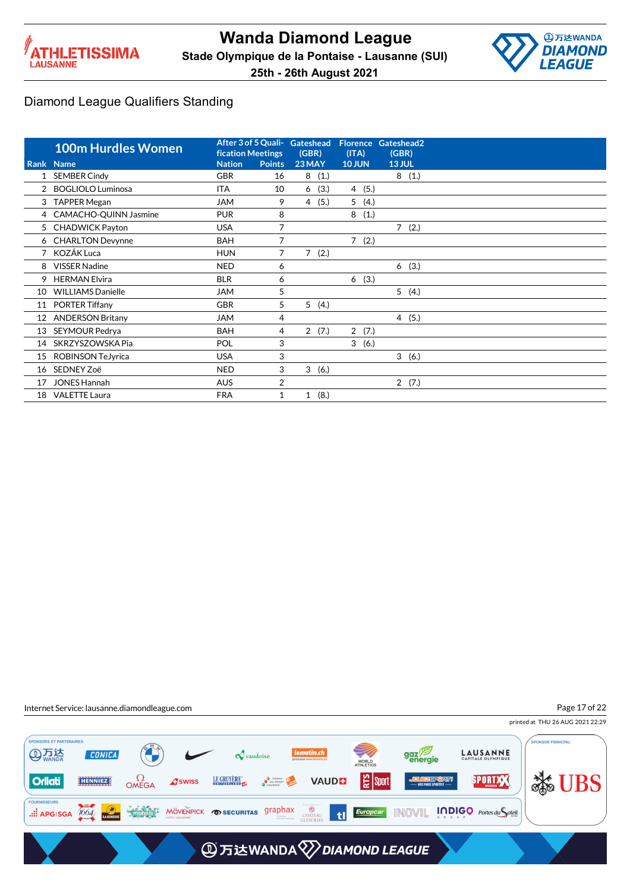



printed at THU 26 AUG 2021 22:29

Page 17 of 22

### Diamond League Qualifiers Standing

|    | <b>100m Hurdles Women</b> | <b>fication Meetings</b> |               | After 3 of 5 Quali- Gateshead<br>(GBR) | (ITA)         | Florence Gateshead2<br>(GBR) |
|----|---------------------------|--------------------------|---------------|----------------------------------------|---------------|------------------------------|
|    | Rank Name                 | <b>Nation</b>            | <b>Points</b> | 23 MAY                                 | <b>10 JUN</b> | 13 JUL                       |
|    | 1 SEMBER Cindy            | <b>GBR</b>               | 16            | 8(1.)                                  |               | 8(1.)                        |
|    | 2 BOGLIOLO Luminosa       | ITA                      | 10            | 6(3.)                                  | (5.)<br>4     |                              |
| 3  | <b>TAPPER Megan</b>       | <b>JAM</b>               | 9             | (5.)<br>4                              | 5<br>(4.)     |                              |
|    | 4 CAMACHO-QUINN Jasmine   | <b>PUR</b>               | 8             |                                        | 8<br>(1.)     |                              |
|    | 5 CHADWICK Payton         | <b>USA</b>               | 7             |                                        |               | 7(2.)                        |
|    | 6 CHARLTON Devynne        | <b>BAH</b>               | 7             |                                        | 7(2.)         |                              |
|    | KOZÁK Luca                | <b>HUN</b>               | 7             | $\overline{7}$<br>(2.)                 |               |                              |
| 8  | <b>VISSER Nadine</b>      | <b>NED</b>               | 6             |                                        |               | 6(3.)                        |
| 9  | <b>HERMAN Elvira</b>      | <b>BLR</b>               | 6             |                                        | (3.)<br>6     |                              |
| 10 | <b>WILLIAMS Danielle</b>  | <b>JAM</b>               | 5             |                                        |               | 5(4.)                        |
| 11 | <b>PORTER Tiffany</b>     | <b>GBR</b>               | 5             | 5(4.)                                  |               |                              |
| 12 | <b>ANDERSON Britany</b>   | <b>JAM</b>               | 4             |                                        |               | 4(5.)                        |
| 13 | SEYMOUR Pedrya            | <b>BAH</b>               | 4             | 2(7.)                                  | 2(7.)         |                              |
| 14 | SKRZYSZOWSKA Pia          | POL                      | 3             |                                        | 3<br>(6.)     |                              |
| 15 | <b>ROBINSON TeJyrica</b>  | <b>USA</b>               | 3             |                                        |               | 3(6.)                        |
|    | 16 SEDNEY Zoë             | <b>NED</b>               | 3             | 3<br>(6.)                              |               |                              |
| 17 | <b>JONES Hannah</b>       | <b>AUS</b>               | 2             |                                        |               | 2(7.)                        |
| 18 | <b>VALETTE Laura</b>      | <b>FRA</b>               | 1             | (8.)<br>$\mathbf{1}$                   |               |                              |



PONSORS ET PARTENAIRES **PONSOR PRINICPAL AD 万法** gaz<sup>79</sup> **LAUSANNE CONICA**  $\boldsymbol{\mathcal{Q}}$  vaudoise WORLD<br>ATHLETICS **Solution**  $\Omega$ OMEGA **D**<br>**D** DU SPORT | 일 sport LE GRUYÈRE SPORTXX **Orliati** HENNIEZ **A**swiss **VAUDE** .::: APGISGA 1004 MODULS MÖVENPICK OSECURITAS graphax **CHATEAU**<br>GLEROLLES til **A** 万达WANDA 2 DIAMOND LEAGUE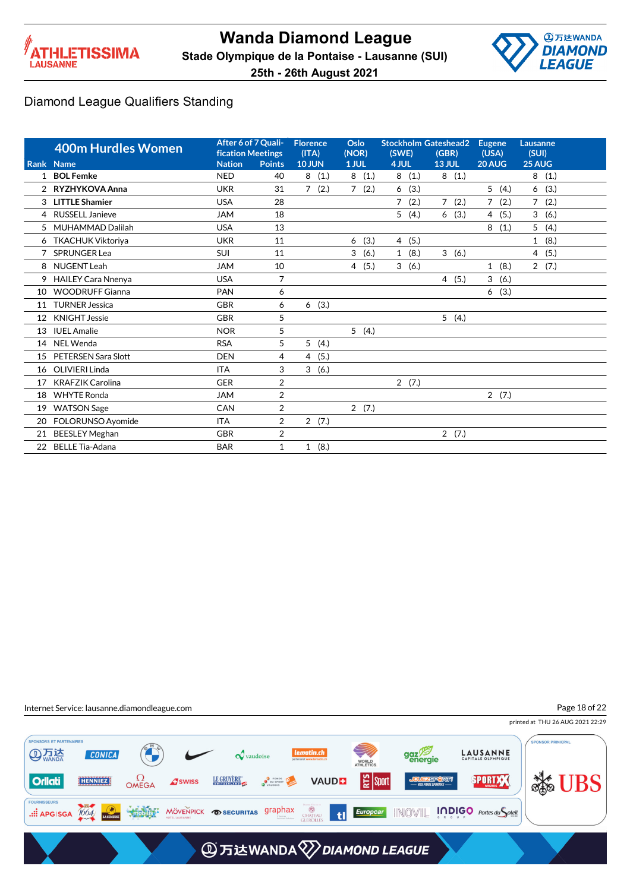



|                | <b>400m Hurdles Women</b><br>Rank Name | After 6 of 7 Quali-<br>fication Meetings<br><b>Nation</b> | <b>Points</b>  | <b>Florence</b><br>(ITA)<br><b>10 JUN</b> | Oslo<br>(NOR)<br>1 JUL | <b>Stockholm Gateshead2</b><br>(SWE)<br>4 JUL | (GBR)<br><b>13 JUL</b> | <b>Eugene</b><br>(USA)<br>20 AUG | Lausanne<br>(SUI)<br>25 AUG |  |
|----------------|----------------------------------------|-----------------------------------------------------------|----------------|-------------------------------------------|------------------------|-----------------------------------------------|------------------------|----------------------------------|-----------------------------|--|
| 1              | <b>BOL Femke</b>                       | <b>NED</b>                                                | 40             | 8(1.)                                     | 8(1.)                  | 8(1.)                                         | 8(1.)                  |                                  | 8<br>(1.)                   |  |
| $\overline{2}$ | RYZHYKOVA Anna                         | <b>UKR</b>                                                | 31             | $\overline{7}$<br>(2.)                    | $\overline{7}$<br>(2.) | (3.)<br>6                                     |                        | 5<br>(4.)                        | (3.)<br>6                   |  |
| 3              | <b>LITTLE Shamier</b>                  | <b>USA</b>                                                | 28             |                                           |                        | $\overline{7}$<br>(2.)                        | $\overline{7}$<br>(2.) | $\overline{7}$<br>(2.)           | $\overline{7}$<br>(2.)      |  |
| 4              | <b>RUSSELL Janieve</b>                 | <b>JAM</b>                                                | 18             |                                           |                        | 5(4.)                                         | (3.)<br>6              | (5.)<br>$\overline{4}$           | 3<br>(6.)                   |  |
| 5              | MUHAMMAD Dalilah                       | <b>USA</b>                                                | 13             |                                           |                        |                                               |                        | 8<br>(1.)                        | 5<br>(4.)                   |  |
|                | 6 TKACHUK Viktoriya                    | <b>UKR</b>                                                | 11             |                                           | (3.)<br>6              | (5.)<br>$\overline{4}$                        |                        |                                  | (8.)<br>$\mathbf{1}$        |  |
|                | SPRUNGER Lea                           | <b>SUI</b>                                                | 11             |                                           | 3<br>(6.)              | (8.)<br>$\mathbf{1}$                          | 3(6.)                  |                                  | (5.)<br>4                   |  |
| 8              | NUGENT Leah                            | <b>JAM</b>                                                | 10             |                                           | 4(5.)                  | 3(6.)                                         |                        | $\mathbf{1}$<br>(8.)             | 2(7.)                       |  |
| 9              | <b>HAILEY Cara Nnenya</b>              | <b>USA</b>                                                | $\overline{7}$ |                                           |                        |                                               | 4(5.)                  | 3<br>(6.)                        |                             |  |
| 10             | <b>WOODRUFF Gianna</b>                 | <b>PAN</b>                                                | 6              |                                           |                        |                                               |                        | (3.)<br>6                        |                             |  |
| 11             | <b>TURNER Jessica</b>                  | <b>GBR</b>                                                | 6              | 6(3.)                                     |                        |                                               |                        |                                  |                             |  |
| 12             | <b>KNIGHT Jessie</b>                   | <b>GBR</b>                                                | 5              |                                           |                        |                                               | 5(4.)                  |                                  |                             |  |
| 13             | <b>IUEL Amalie</b>                     | <b>NOR</b>                                                | 5              |                                           | 5(4.)                  |                                               |                        |                                  |                             |  |
| 14             | NEL Wenda                              | <b>RSA</b>                                                | 5              | 5<br>(4.)                                 |                        |                                               |                        |                                  |                             |  |
| 15             | PETERSEN Sara Slott                    | <b>DEN</b>                                                | 4              | (5.)<br>4                                 |                        |                                               |                        |                                  |                             |  |
| 16             | OLIVIERI Linda                         | <b>ITA</b>                                                | 3              | 3<br>(6.)                                 |                        |                                               |                        |                                  |                             |  |
| 17             | <b>KRAFZIK Carolina</b>                | <b>GER</b>                                                | $\overline{2}$ |                                           |                        | 2(7.)                                         |                        |                                  |                             |  |
| 18             | <b>WHYTE Ronda</b>                     | <b>JAM</b>                                                | $\overline{2}$ |                                           |                        |                                               |                        | 2(7.)                            |                             |  |
| 19             | <b>WATSON Sage</b>                     | CAN                                                       | $\overline{2}$ |                                           | 2(7.)                  |                                               |                        |                                  |                             |  |
| 20             | FOLORUNSO Ayomide                      | <b>ITA</b>                                                | 2              | 2(7.)                                     |                        |                                               |                        |                                  |                             |  |
| 21             | <b>BEESLEY Meghan</b>                  | <b>GBR</b>                                                | $\overline{2}$ |                                           |                        |                                               | 2(7.)                  |                                  |                             |  |
| 22             | <b>BELLE Tia-Adana</b>                 | <b>BAR</b>                                                | 1              | (8.)<br>1                                 |                        |                                               |                        |                                  |                             |  |



printed at THU 26 AUG 2021 22:29 Page 18 of 22

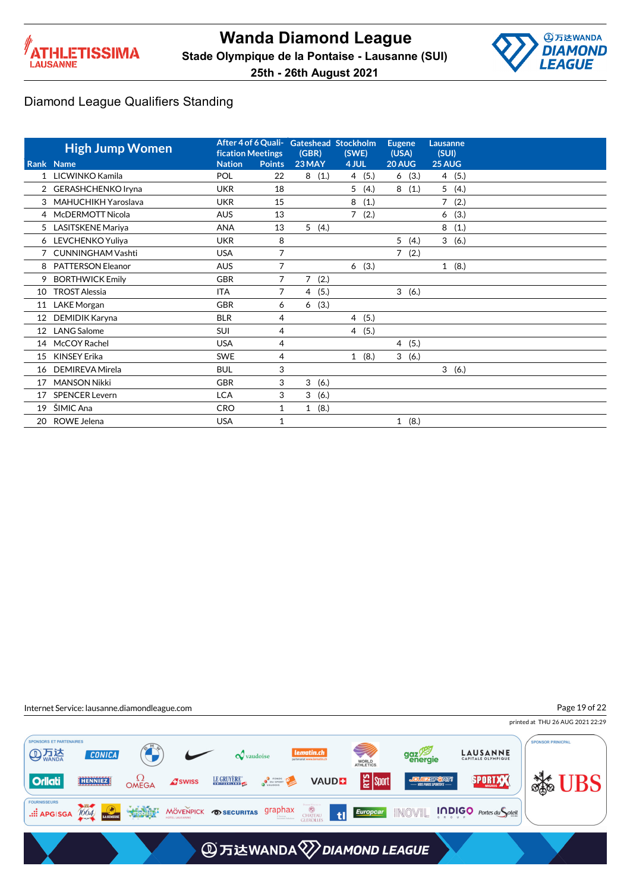



printed at THU 26 AUG 2021 22:29

Page 19 of 22

#### Diamond League Qualifiers Standing

|              | <b>High Jump Women</b>   | <b>fication Meetings</b> |               | After 4 of 6 Quali- Gateshead Stockholm<br>(GBR) | (SWE)                  | <b>Eugene</b><br>(USA) | Lausanne<br>(SUI)      |
|--------------|--------------------------|--------------------------|---------------|--------------------------------------------------|------------------------|------------------------|------------------------|
|              | Rank Name                | <b>Nation</b>            | <b>Points</b> | 23 MAY                                           | 4 JUL                  | 20 AUG                 | 25 AUG                 |
| $\mathbf{1}$ | LICWINKO Kamila          | POL                      | 22            | 8<br>(1.)                                        | 4(5.)                  | (3.)<br>6              | (5.)<br>4              |
|              | 2 GERASHCHENKO Iryna     | <b>UKR</b>               | 18            |                                                  | 5<br>(4.)              | 8(1.)                  | 5<br>(4.)              |
| 3            | MAHUCHIKH Yaroslava      | <b>UKR</b>               | 15            |                                                  | 8<br>(1.)              |                        | $\overline{7}$<br>(2.) |
|              | 4 McDERMOTT Nicola       | <b>AUS</b>               | 13            |                                                  | $\overline{7}$<br>(2.) |                        | (3.)<br>6              |
|              | 5 LASITSKENE Mariya      | <b>ANA</b>               | 13            | 5(4.)                                            |                        |                        | 8<br>(1.)              |
| 6            | LEVCHENKO Yuliya         | <b>UKR</b>               | 8             |                                                  |                        | 5<br>(4.)              | 3<br>(6.)              |
|              | <b>CUNNINGHAM Vashti</b> | <b>USA</b>               | 7             |                                                  |                        | (2.)<br>7              |                        |
| 8            | <b>PATTERSON Eleanor</b> | <b>AUS</b>               | 7             |                                                  | 6(3.)                  |                        | (8.)<br>$\mathbf{1}$   |
| 9            | <b>BORTHWICK Emily</b>   | <b>GBR</b>               | 7             | (2.)<br>$\overline{7}$                           |                        |                        |                        |
| 10           | <b>TROST Alessia</b>     | <b>ITA</b>               | 7             | 4(5.)                                            |                        | 3(6.)                  |                        |
|              | 11 LAKE Morgan           | <b>GBR</b>               | 6             | (3.)<br>6                                        |                        |                        |                        |
| 12           | DEMIDIK Karyna           | <b>BLR</b>               | 4             |                                                  | 4(5.)                  |                        |                        |
| 12           | <b>LANG Salome</b>       | <b>SUI</b>               | 4             |                                                  | 4(5.)                  |                        |                        |
| 14           | McCOY Rachel             | <b>USA</b>               | 4             |                                                  |                        | 4(5.)                  |                        |
| 15           | <b>KINSEY Erika</b>      | <b>SWE</b>               | 4             |                                                  | (8.)<br>$\mathbf{1}$   | 3<br>(6.)              |                        |
| 16           | DEMIREVA Mirela          | <b>BUL</b>               | 3             |                                                  |                        |                        | 3(6.)                  |
| 17           | <b>MANSON Nikki</b>      | <b>GBR</b>               | 3             | 3<br>(6.)                                        |                        |                        |                        |
| 17           | <b>SPENCER Levern</b>    | <b>LCA</b>               | 3             | 3<br>(6.)                                        |                        |                        |                        |
| 19           | ŠIMIC Ana                | <b>CRO</b>               | 1             | (8.)<br>$\mathbf{1}$                             |                        |                        |                        |
| 20           | ROWE Jelena              | <b>USA</b>               | $\mathbf{1}$  |                                                  |                        | 1(8.)                  |                        |

Internet Service: lausanne.diamondleague.com

PONSORS ET PARTENAIRES **PONSOR PRINICPAL AD 万法** gaz<sup>79</sup> **LAUSANNE CONICA**  $\boldsymbol{\mathcal{Q}}$  vaudoise WORLD<br>ATHLETICS **Solution**  $\Omega$ OMEGA **D**<br>**D** DU SPORT | 일 sport LE GRUYÈRE SPORTXX **Orliati** HENNIEZ **A**swiss **VAUDE** .::: APGISGA 1004 MODULS MÖVENPICK OSECURITAS graphax **CHATEAU**<br>GLEROLLES til **A** 万达WANDA 2 DIAMOND LEAGUE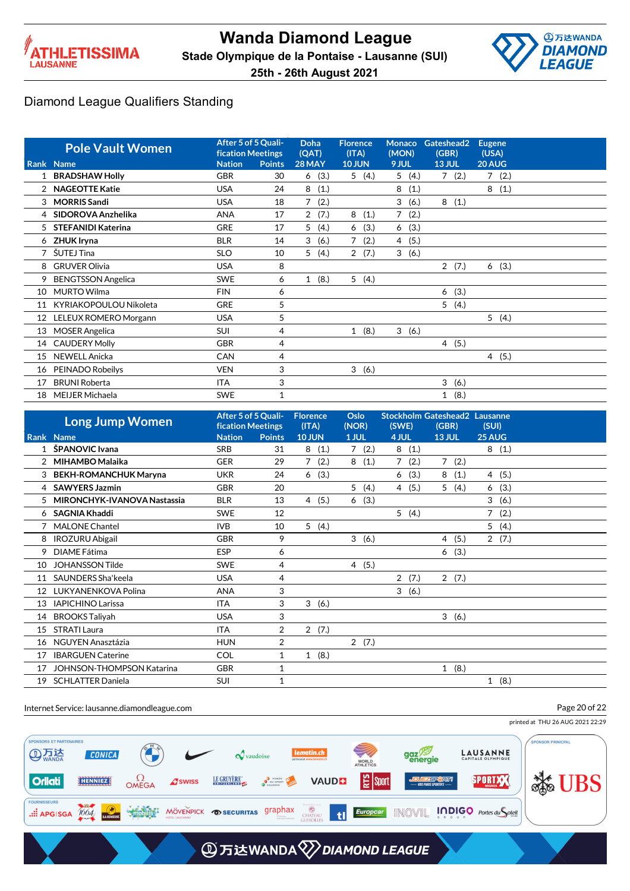



|                | <b>Pole Vault Women</b>   | After 5 of 5 Quali-<br><b>fication Meetings</b> |               | <b>Doha</b><br>(QAT)   | <b>Florence</b><br>(ITA) | <b>Monaco</b><br>(MON) | Gateshead2<br>(GBR)  | <b>Eugene</b><br>(USA) |  |
|----------------|---------------------------|-------------------------------------------------|---------------|------------------------|--------------------------|------------------------|----------------------|------------------------|--|
|                | Rank Name                 | <b>Nation</b>                                   | <b>Points</b> | 28 MAY                 | <b>10 JUN</b>            | 9 JUL                  | <b>13 JUL</b>        | 20 AUG                 |  |
|                | <b>BRADSHAW Holly</b>     | <b>GBR</b>                                      | 30            | (3.)<br>6              | 5(4.)                    | 5(4.)                  | 7(2.)                | 7(2.)                  |  |
| $\overline{2}$ | <b>NAGEOTTE Katie</b>     | <b>USA</b>                                      | 24            | 8<br>(1.)              |                          | 8<br>(1.)              |                      | 8<br>(1.)              |  |
| 3              | <b>MORRIS Sandi</b>       | <b>USA</b>                                      | 18            | 7<br>(2.)              |                          | 3<br>(6.)              | 8<br>(1.)            |                        |  |
| 4              | SIDOROVA Anzhelika        | <b>ANA</b>                                      | 17            | (7.)<br>$\overline{2}$ | 8<br>(1.)                | 7<br>(2.)              |                      |                        |  |
| 5              | <b>STEFANIDI Katerina</b> | <b>GRE</b>                                      | 17            | 5<br>(4.)              | (3.)<br>6                | (3.)<br>6              |                      |                        |  |
| 6              | <b>ZHUK Iryna</b>         | <b>BLR</b>                                      | 14            | 3<br>(6.)              | 7<br>(2.)                | 4(5.)                  |                      |                        |  |
| $\overline{7}$ | ŠUTEJ Tina                | <b>SLO</b>                                      | 10            | (4.)<br>5              | 2(7.)                    | 3(6.)                  |                      |                        |  |
| 8              | <b>GRUVER Olivia</b>      | <b>USA</b>                                      | 8             |                        |                          |                        | 2(7.)                | 6(3.)                  |  |
| 9              | <b>BENGTSSON Angelica</b> | <b>SWE</b>                                      | 6             | (8.)<br>$\mathbf{1}$   | 5(4.)                    |                        |                      |                        |  |
| 10             | <b>MURTO Wilma</b>        | <b>FIN</b>                                      | 6             |                        |                          |                        | (3.)<br>6            |                        |  |
| 11             | KYRIAKOPOULOU Nikoleta    | <b>GRE</b>                                      | 5             |                        |                          |                        | 5<br>(4.)            |                        |  |
| 12             | LELEUX ROMERO Morgann     | <b>USA</b>                                      | 5             |                        |                          |                        |                      | 5(4.)                  |  |
| 13             | <b>MOSER Angelica</b>     | <b>SUI</b>                                      | 4             |                        | 1(8.)                    | 3(6.)                  |                      |                        |  |
| 14             | <b>CAUDERY Molly</b>      | <b>GBR</b>                                      | 4             |                        |                          |                        | 4(5.)                |                        |  |
| 15             | <b>NEWELL Anicka</b>      | CAN                                             | 4             |                        |                          |                        |                      | 4(5.)                  |  |
| 16             | PEINADO Robeilys          | <b>VEN</b>                                      | 3             |                        | 3<br>(6.)                |                        |                      |                        |  |
| 17             | <b>BRUNI Roberta</b>      | <b>ITA</b>                                      | 3             |                        |                          |                        | 3<br>(6.)            |                        |  |
| 18             | MEIJER Michaela           | <b>SWE</b>                                      | 1             |                        |                          |                        | (8.)<br>$\mathbf{1}$ |                        |  |

|    | <b>Long Jump Women</b>           | After 5 of 5 Quali-<br>fication Meetings |                | <b>Florence</b><br>(ITA) | Oslo<br>(NOR)          | (SWE)                  | <b>Stockholm Gateshead2 Lausanne</b><br>(GBR) | (SUI)                  |  |
|----|----------------------------------|------------------------------------------|----------------|--------------------------|------------------------|------------------------|-----------------------------------------------|------------------------|--|
|    | Rank Name                        | <b>Nation</b>                            | <b>Points</b>  | <b>10 JUN</b>            | 1 JUL                  | 4 JUL                  | <b>13 JUL</b>                                 | 25 AUG                 |  |
|    | ŠPANOVIC Ivana                   | <b>SRB</b>                               | 31             | (1.)<br>8                | $\overline{7}$<br>(2.) | 8<br>(1.)              |                                               | 8<br>(1.)              |  |
| 2  | <b>MIHAMBO Malaika</b>           | <b>GER</b>                               | 29             | (2.)<br>7                | 8<br>(1.)              | $\overline{7}$<br>(2.) | $\overline{7}$<br>(2.)                        |                        |  |
| 3  | <b>BEKH-ROMANCHUK Maryna</b>     | <b>UKR</b>                               | 24             | (3.)<br>6                |                        | (3.)<br>6              | 8<br>(1.)                                     | 4 (5.)                 |  |
| 4  | <b>SAWYERS Jazmin</b>            | <b>GBR</b>                               | 20             |                          | 5<br>(4.)              | 4(5.)                  | 5<br>(4.)                                     | (3.)<br>6              |  |
| 5  | MIRONCHYK-IVANOVA Nastassia      | <b>BLR</b>                               | 13             | (5.)<br>$\overline{4}$   | (3.)<br>6              |                        |                                               | 3<br>(6.)              |  |
| 6  | <b>SAGNIA Khaddi</b>             | <b>SWE</b>                               | 12             |                          |                        | 5(4.)                  |                                               | $\overline{7}$<br>(2.) |  |
|    | <b>MALONE Chantel</b>            | <b>IVB</b>                               | 10             | 5<br>(4.)                |                        |                        |                                               | 5<br>(4.)              |  |
| 8  | <b>IROZURU Abigail</b>           | <b>GBR</b>                               | 9              |                          | 3<br>(6.)              |                        | (5.)<br>4                                     | 2(7.)                  |  |
| 9  | DIAME Fátima                     | <b>ESP</b>                               | 6              |                          |                        |                        | (3.)<br>6                                     |                        |  |
| 10 | <b>JOHANSSON Tilde</b>           | <b>SWE</b>                               | 4              |                          | 4(5.)                  |                        |                                               |                        |  |
| 11 | SAUNDERS Sha'keela               | <b>USA</b>                               | 4              |                          |                        | $\overline{2}$<br>(7.) | 2(7.)                                         |                        |  |
| 12 | LUKYANENKOVA Polina              | <b>ANA</b>                               | 3              |                          |                        | 3(6.)                  |                                               |                        |  |
| 13 | <b>IAPICHINO Larissa</b>         | <b>ITA</b>                               | 3              | 3<br>(6.)                |                        |                        |                                               |                        |  |
| 14 | <b>BROOKS Taliyah</b>            | <b>USA</b>                               | 3              |                          |                        |                        | 3<br>(6.)                                     |                        |  |
| 15 | <b>STRATI Laura</b>              | <b>ITA</b>                               | $\overline{2}$ | 2(7.)                    |                        |                        |                                               |                        |  |
| 16 | NGUYEN Anasztázia                | <b>HUN</b>                               | $\overline{2}$ |                          | 2(7.)                  |                        |                                               |                        |  |
| 17 | <b>IBARGUEN Caterine</b>         | <b>COL</b>                               | 1              | 1(8.)                    |                        |                        |                                               |                        |  |
| 17 | <b>JOHNSON-THOMPSON Katarina</b> | <b>GBR</b>                               | 1              |                          |                        |                        | (8.)<br>$\mathbf{1}$                          |                        |  |
| 19 | <b>SCHLATTER Daniela</b>         | <b>SUI</b>                               | 1              |                          |                        |                        |                                               | (8.)<br>$\mathbf{1}$   |  |

#### Internet Service: lausanne.diamondleague.com

Page 20 of 22

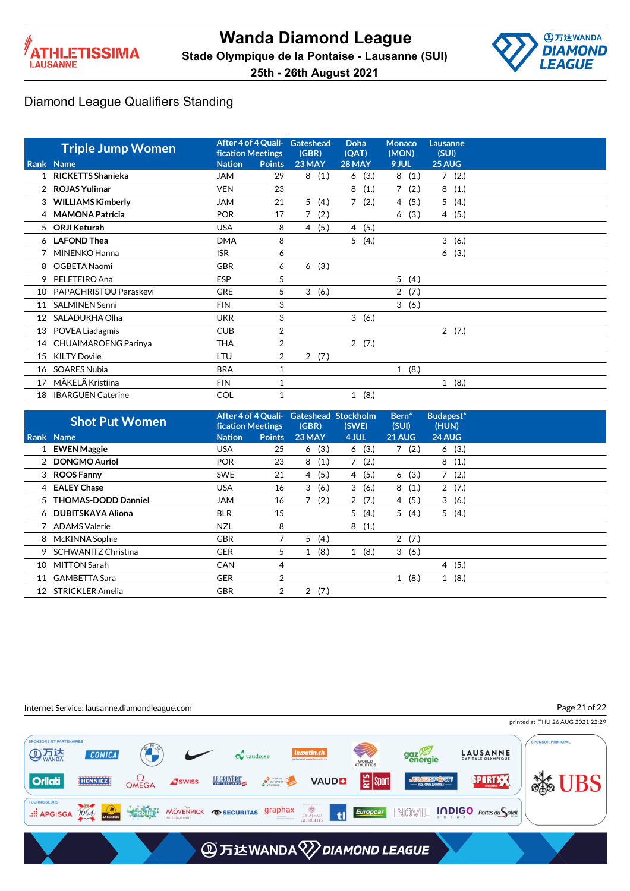



|                 | <b>Triple Jump Women</b>    | <b>fication Meetings</b> |                | After 4 of 4 Quali- Gateshead<br>(GBR) | <b>Doha</b><br>(QAT) | <b>Monaco</b><br>(MON) | Lausanne<br>(SUI) |
|-----------------|-----------------------------|--------------------------|----------------|----------------------------------------|----------------------|------------------------|-------------------|
|                 | Rank Name                   | <b>Nation</b>            | <b>Points</b>  | 23 MAY                                 | 28 MAY               | 9 JUL                  | 25 AUG            |
|                 | 1 RICKETTS Shanieka         | <b>JAM</b>               | 29             | 8(1.)                                  | 6(3.)                | 8(1.)                  | 7(2.)             |
|                 | 2 ROJAS Yulimar             | <b>VEN</b>               | 23             |                                        | 8<br>(1.)            | $\overline{7}$<br>(2.) | 8<br>(1.)         |
| $\mathbf{3}$    | <b>WILLIAMS Kimberly</b>    | JAM                      | 21             | 5<br>(4.)                              | 7<br>(2.)            | (5.)<br>4              | 5(4.)             |
|                 | 4 MAMONA Patrícia           | <b>POR</b>               | 17             | 7(2.)                                  |                      | (3.)<br>6              | 4(5.)             |
| 5               | <b>ORJI Keturah</b>         | <b>USA</b>               | 8              | (5.)<br>4                              | 4 (5.)               |                        |                   |
|                 | 6 LAFOND Thea               | <b>DMA</b>               | 8              |                                        | 5(4.)                |                        | 3<br>(6.)         |
|                 | MINENKO Hanna               | <b>ISR</b>               | 6              |                                        |                      |                        | (3.)<br>6         |
| 8               | OGBETA Naomi                | <b>GBR</b>               | 6              | (3.)<br>6                              |                      |                        |                   |
| 9               | PELETEIRO Ana               | <b>ESP</b>               | 5              |                                        |                      | 5<br>(4.)              |                   |
| 10              | PAPACHRISTOU Paraskevi      | <b>GRE</b>               | 5              | 3<br>(6.)                              |                      | $\overline{2}$<br>(7.) |                   |
| 11              | <b>SALMINEN Senni</b>       | <b>FIN</b>               | 3              |                                        |                      | 3(6.)                  |                   |
| 12 <sup>°</sup> | SALADUKHA Olha              | <b>UKR</b>               | 3              |                                        | 3(6.)                |                        |                   |
| 13              | POVEA Liadagmis             | <b>CUB</b>               | 2              |                                        |                      |                        | 2(7.)             |
| 14              | <b>CHUAIMAROENG Parinya</b> | <b>THA</b>               | $\overline{2}$ |                                        | 2(7.)                |                        |                   |
| 15              | <b>KILTY Dovile</b>         | LTU                      | 2              | (7.)<br>$\overline{2}$                 |                      |                        |                   |
| 16              | <b>SOARES Nubia</b>         | <b>BRA</b>               | 1              |                                        |                      | 1(8.)                  |                   |
| 17              | MÄKELÄ Kristiina            | <b>FIN</b>               |                |                                        |                      |                        | 1(8.)             |
| 18              | <b>IBARGUEN Caterine</b>    | <b>COL</b>               |                |                                        | 1(8.)                |                        |                   |

|                   | <b>Shot Put Women</b>      | <b>fication Meetings</b> |                | After 4 of 4 Quali- Gateshead Stockholm<br>(GBR) | (SWE)     | Bern <sup>*</sup><br>(SUI) | Budapest*<br>(HUN)     |  |
|-------------------|----------------------------|--------------------------|----------------|--------------------------------------------------|-----------|----------------------------|------------------------|--|
|                   | Rank Name                  | <b>Nation</b>            | <b>Points</b>  | 23 MAY                                           | 4 JUL     | 21 AUG                     | 24 AUG                 |  |
|                   | 1 EWEN Maggie              | <b>USA</b>               | 25             | 6(3.)                                            | (3.)<br>6 | (2.)<br>$7^{\circ}$        | 6(3.)                  |  |
|                   | 2 DONGMO Auriol            | <b>POR</b>               | 23             | 8<br>(1.)                                        | (2.)<br>7 |                            | 8<br>(1.)              |  |
|                   | 3 ROOS Fanny               | <b>SWE</b>               | 21             | 4(5.)                                            | 4(5.)     | 6(3.)                      | $\overline{7}$<br>(2.) |  |
|                   | 4 EALEY Chase              | <b>USA</b>               | 16             | 3(6.)                                            | (6.)<br>3 | 8<br>(1.)                  | 2(7.)                  |  |
|                   | 5 THOMAS-DODD Danniel      | JAM                      | 16             | 7(2.)                                            | 2(7.)     | 4(5.)                      | 3(6.)                  |  |
|                   | 6 DUBITSKAYA Aliona        | <b>BLR</b>               | 15             |                                                  | (4.)<br>5 | 5(4.)                      | 5<br>(4.)              |  |
|                   | 7 ADAMS Valerie            | <b>NZL</b>               | 8              |                                                  | (1.)<br>8 |                            |                        |  |
|                   | 8 McKINNA Sophie           | <b>GBR</b>               |                | 5(4.)                                            |           | 2(7.)                      |                        |  |
| 9                 | <b>SCHWANITZ Christina</b> | <b>GER</b>               | 5              | (8.)                                             | (8.)<br>1 | (6.)<br>3                  |                        |  |
| 10                | MITTON Sarah               | <b>CAN</b>               | 4              |                                                  |           |                            | 4(5.)                  |  |
| 11                | <b>GAMBETTA Sara</b>       | <b>GER</b>               | $\overline{2}$ |                                                  |           | (8.)<br>$\mathbf{1}$       | (8.)<br>$\mathbf{1}$   |  |
| $12 \overline{ }$ | <b>STRICKLER Amelia</b>    | <b>GBR</b>               | 2              | 2(7.)                                            |           |                            |                        |  |

#### Internet Service: lausanne.diamondleague.com

Page 21 of 22